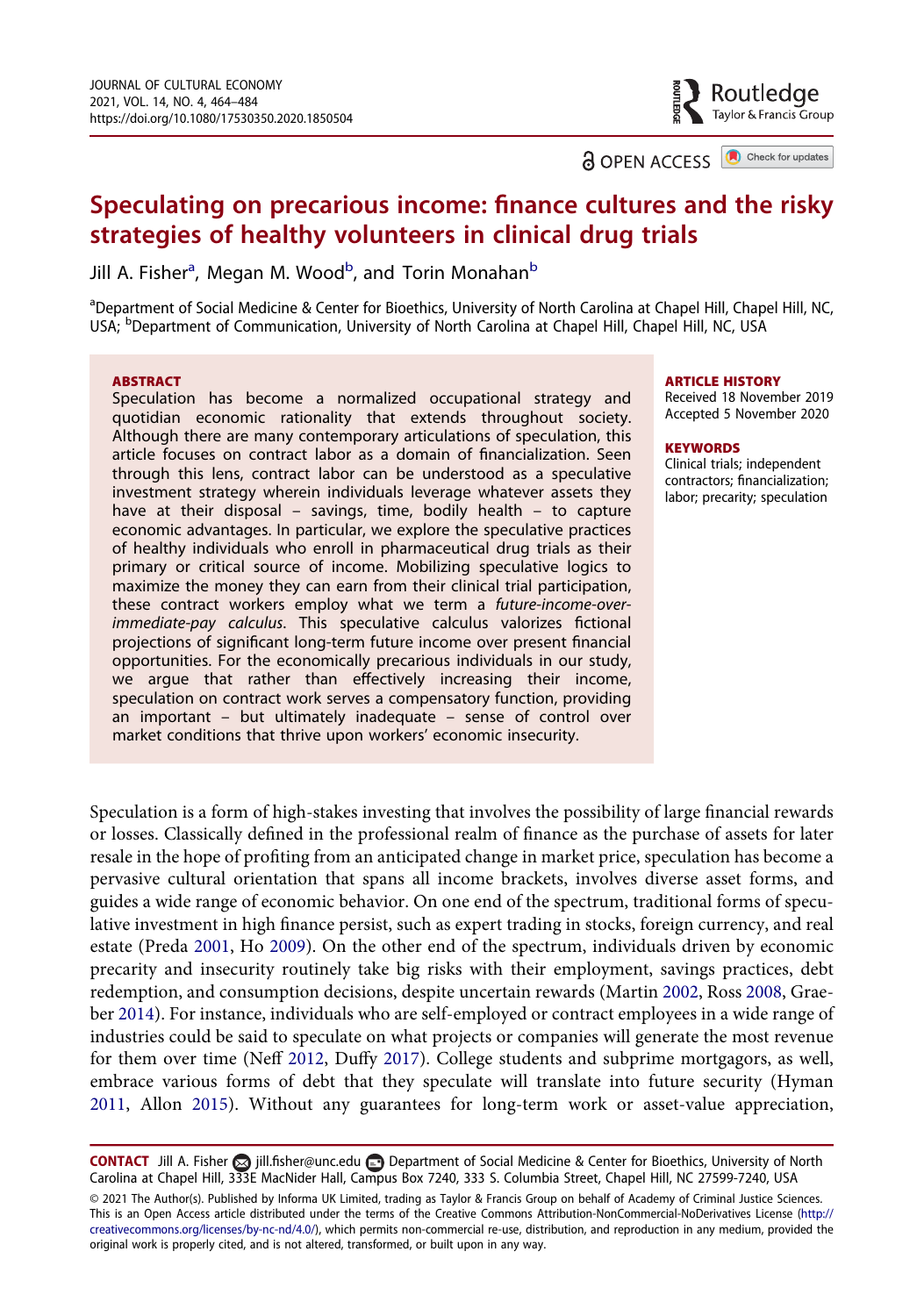

**a** OPEN ACCESS **a** Check for updates

# Speculating on precarious income: finance cultures and the risky strategies of healthy volunteers in clinical drug trials

Jill A. Fisher<sup>a</sup>, Megan M. Wood<sup>b</sup>, and Torin Monahan<sup>b</sup>

<sup>a</sup>Department of Social Medicine & Center for Bioethics, University of North Carolina at Chapel Hill, Chapel Hill, NC, USA; <sup>b</sup>Department of Communication, University of North Carolina at Chapel Hill, Chapel Hill, NC, USA

#### **ARSTRACT**

Speculation has become a normalized occupational strategy and quotidian economic rationality that extends throughout society. Although there are many contemporary articulations of speculation, this article focuses on contract labor as a domain of financialization. Seen through this lens, contract labor can be understood as a speculative investment strategy wherein individuals leverage whatever assets they have at their disposal – savings, time, bodily health – to capture economic advantages. In particular, we explore the speculative practices of healthy individuals who enroll in pharmaceutical drug trials as their primary or critical source of income. Mobilizing speculative logics to maximize the money they can earn from their clinical trial participation, these contract workers employ what we term a future-income-overimmediate-pay calculus. This speculative calculus valorizes fictional projections of significant long-term future income over present financial opportunities. For the economically precarious individuals in our study, we argue that rather than effectively increasing their income, speculation on contract work serves a compensatory function, providing an important – but ultimately inadequate – sense of control over market conditions that thrive upon workers' economic insecurity.

#### ARTICLE HISTORY

Received 18 November 2019 Accepted 5 November 2020

#### **KEYWORDS**

Clinical trials; independent contractors; financialization; labor; precarity; speculation

<span id="page-0-5"></span><span id="page-0-3"></span>Speculation is a form of high-stakes investing that involves the possibility of large financial rewards or losses. Classically defined in the professional realm of finance as the purchase of assets for later resale in the hope of profiting from an anticipated change in market price, speculation has become a pervasive cultural orientation that spans all income brackets, involves diverse asset forms, and guides a wide range of economic behavior. On one end of the spectrum, traditional forms of speculative investment in high finance persist, such as expert trading in stocks, foreign currency, and real estate (Preda [2001,](#page-19-0) Ho [2009](#page-19-1)). On the other end of the spectrum, individuals driven by economic precarity and insecurity routinely take big risks with their employment, savings practices, debt redemption, and consumption decisions, despite uncertain rewards (Martin [2002](#page-19-2), Ross [2008,](#page-19-3) Graeber [2014](#page-19-4)). For instance, individuals who are self-employed or contract employees in a wide range of industries could be said to speculate on what projects or companies will generate the most revenue for them over time (Neff [2012](#page-19-5), Duffy [2017](#page-18-0)). College students and subprime mortgagors, as well, embrace various forms of debt that they speculate will translate into future security (Hyman [2011](#page-19-6), Allon [2015\)](#page-18-1). Without any guarantees for long-term work or asset-value appreciation,

<span id="page-0-4"></span><span id="page-0-2"></span><span id="page-0-1"></span><span id="page-0-0"></span>CONTACT Jill A. Fisher a jill.fi[sher@unc.edu](mailto:jill.fisher@unc.edu) Department of Social Medicine & Center for Bioethics, University of North Carolina at Chapel Hill, 333E MacNider Hall, Campus Box 7240, 333 S. Columbia Street, Chapel Hill, NC 27599-7240, USA

© 2021 The Author(s). Published by Informa UK Limited, trading as Taylor & Francis Group on behalf of Academy of Criminal Justice Sciences. This is an Open Access article distributed under the terms of the Creative Commons Attribution-NonCommercial-NoDerivatives License ([http://](http://creativecommons.org/licenses/by-nc-nd/4.0/) [creativecommons.org/licenses/by-nc-nd/4.0/](http://creativecommons.org/licenses/by-nc-nd/4.0/)), which permits non-commercial re-use, distribution, and reproduction in any medium, provided the original work is properly cited, and is not altered, transformed, or built upon in any way.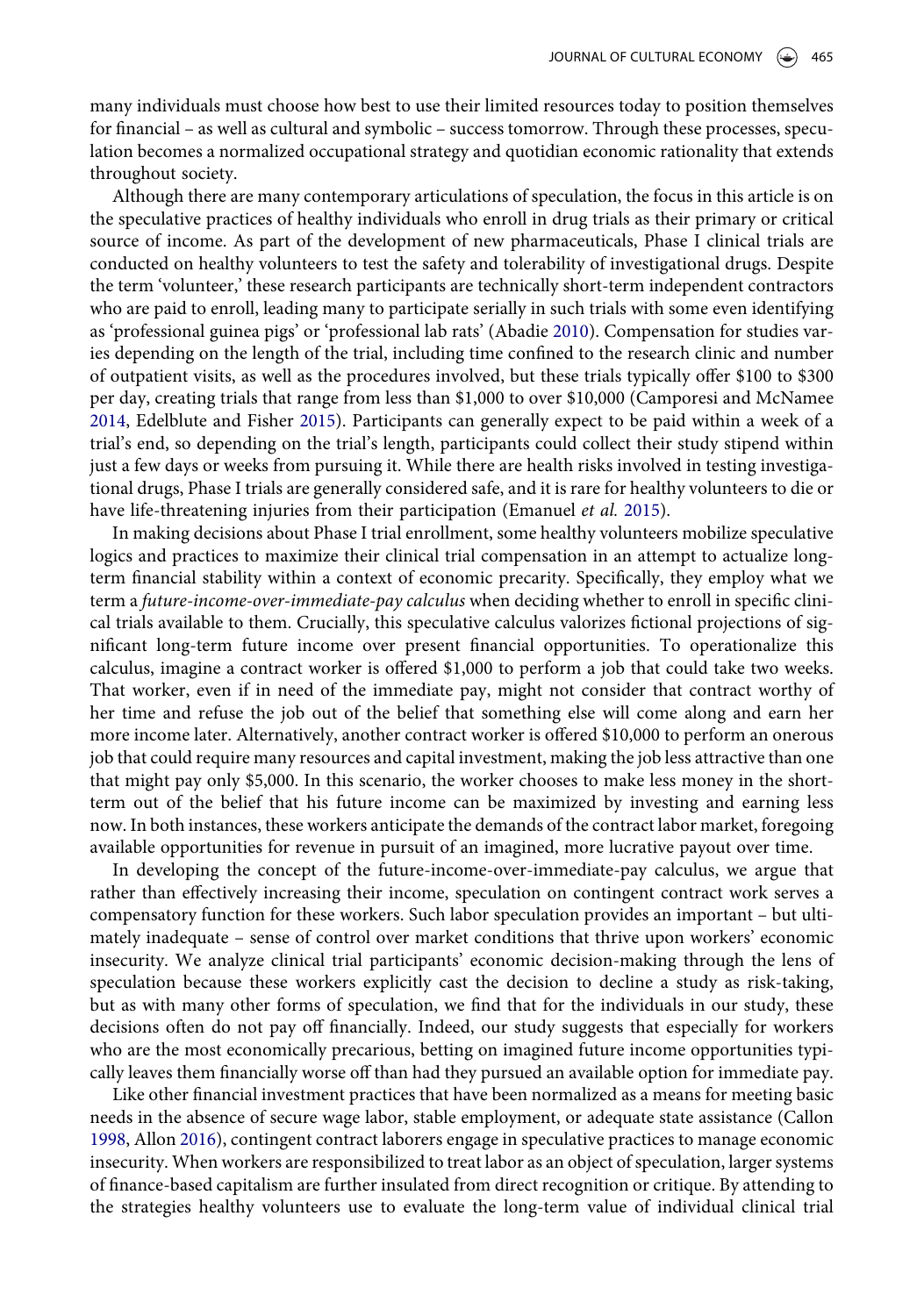many individuals must choose how best to use their limited resources today to position themselves for financial – as well as cultural and symbolic – success tomorrow. Through these processes, speculation becomes a normalized occupational strategy and quotidian economic rationality that extends throughout society.

<span id="page-1-0"></span>Although there are many contemporary articulations of speculation, the focus in this article is on the speculative practices of healthy individuals who enroll in drug trials as their primary or critical source of income. As part of the development of new pharmaceuticals, Phase I clinical trials are conducted on healthy volunteers to test the safety and tolerability of investigational drugs. Despite the term 'volunteer,' these research participants are technically short-term independent contractors who are paid to enroll, leading many to participate serially in such trials with some even identifying as 'professional guinea pigs' or 'professional lab rats' (Abadie [2010](#page-17-0)). Compensation for studies varies depending on the length of the trial, including time confined to the research clinic and number of outpatient visits, as well as the procedures involved, but these trials typically offer \$100 to \$300 per day, creating trials that range from less than \$1,000 to over \$10,000 (Camporesi and McNamee [2014](#page-18-2), Edelblute and Fisher [2015](#page-18-3)). Participants can generally expect to be paid within a week of a trial's end, so depending on the trial's length, participants could collect their study stipend within just a few days or weeks from pursuing it. While there are health risks involved in testing investigational drugs, Phase I trials are generally considered safe, and it is rare for healthy volunteers to die or have life-threatening injuries from their participation (Emanuel et al. [2015](#page-18-4)).

<span id="page-1-5"></span><span id="page-1-4"></span><span id="page-1-3"></span>In making decisions about Phase I trial enrollment, some healthy volunteers mobilize speculative logics and practices to maximize their clinical trial compensation in an attempt to actualize longterm financial stability within a context of economic precarity. Specifically, they employ what we term a future-income-over-immediate-pay calculus when deciding whether to enroll in specific clinical trials available to them. Crucially, this speculative calculus valorizes fictional projections of significant long-term future income over present financial opportunities. To operationalize this calculus, imagine a contract worker is offered \$1,000 to perform a job that could take two weeks. That worker, even if in need of the immediate pay, might not consider that contract worthy of her time and refuse the job out of the belief that something else will come along and earn her more income later. Alternatively, another contract worker is offered \$10,000 to perform an onerous job that could require many resources and capital investment, making the job less attractive than one that might pay only \$5,000. In this scenario, the worker chooses to make less money in the shortterm out of the belief that his future income can be maximized by investing and earning less now. In both instances, these workers anticipate the demands of the contract labor market, foregoing available opportunities for revenue in pursuit of an imagined, more lucrative payout over time.

In developing the concept of the future-income-over-immediate-pay calculus, we argue that rather than effectively increasing their income, speculation on contingent contract work serves a compensatory function for these workers. Such labor speculation provides an important – but ultimately inadequate – sense of control over market conditions that thrive upon workers' economic insecurity. We analyze clinical trial participants' economic decision-making through the lens of speculation because these workers explicitly cast the decision to decline a study as risk-taking, but as with many other forms of speculation, we find that for the individuals in our study, these decisions often do not pay off financially. Indeed, our study suggests that especially for workers who are the most economically precarious, betting on imagined future income opportunities typically leaves them financially worse off than had they pursued an available option for immediate pay.

<span id="page-1-2"></span><span id="page-1-1"></span>Like other financial investment practices that have been normalized as a means for meeting basic needs in the absence of secure wage labor, stable employment, or adequate state assistance (Callon [1998](#page-18-5), Allon [2016](#page-18-6)), contingent contract laborers engage in speculative practices to manage economic insecurity. When workers are responsibilized to treat labor as an object of speculation, larger systems of finance-based capitalism are further insulated from direct recognition or critique. By attending to the strategies healthy volunteers use to evaluate the long-term value of individual clinical trial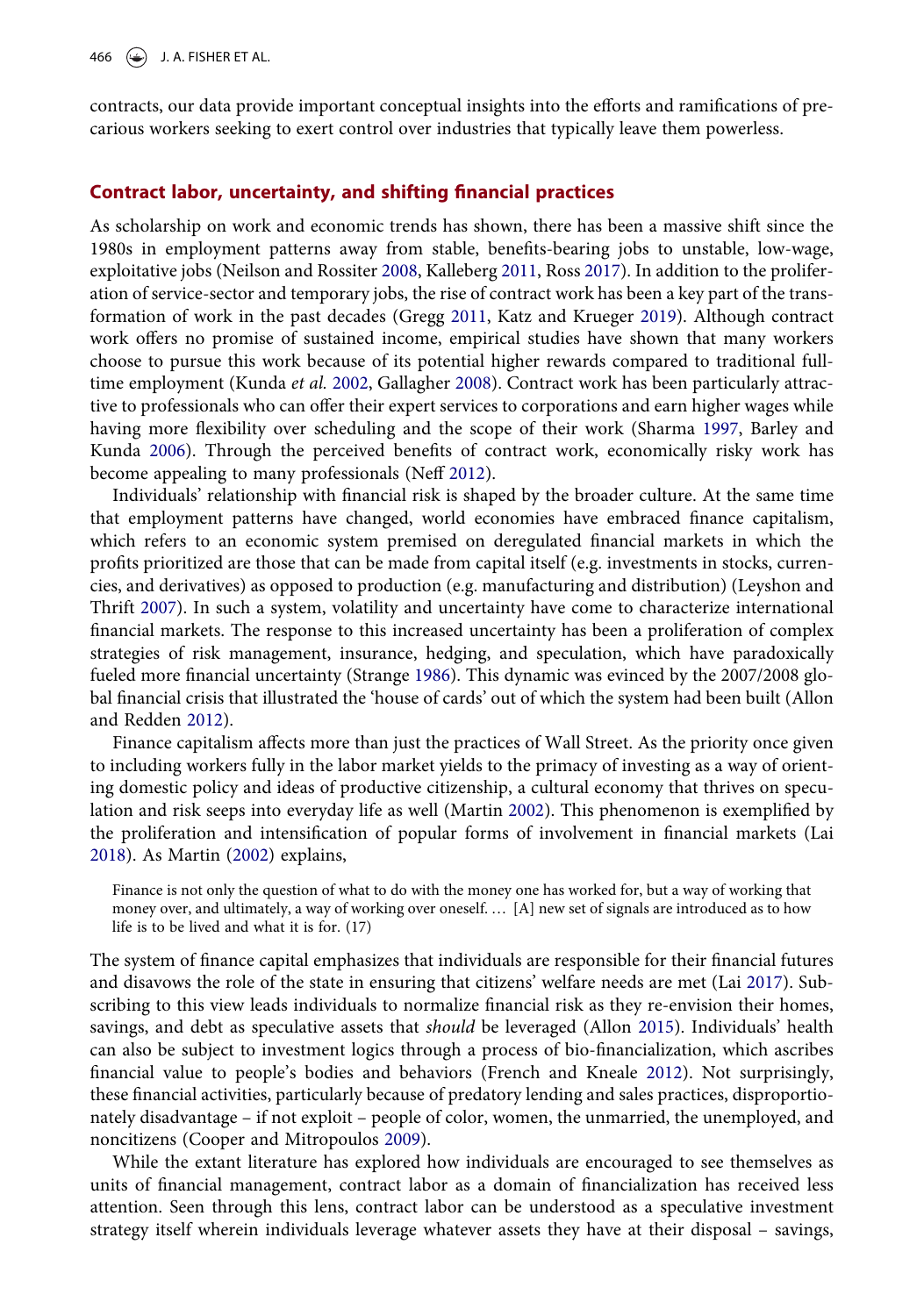466  $\left(\bigcirc\right)$  J. A. FISHER ET AL.

contracts, our data provide important conceptual insights into the efforts and ramifications of precarious workers seeking to exert control over industries that typically leave them powerless.

#### Contract labor, uncertainty, and shifting financial practices

<span id="page-2-6"></span><span id="page-2-5"></span>As scholarship on work and economic trends has shown, there has been a massive shift since the 1980s in employment patterns away from stable, benefits-bearing jobs to unstable, low-wage, exploitative jobs (Neilson and Rossiter [2008](#page-19-7), Kalleberg [2011,](#page-19-8) Ross [2017](#page-19-9)). In addition to the proliferation of service-sector and temporary jobs, the rise of contract work has been a key part of the transformation of work in the past decades (Gregg [2011](#page-19-10), Katz and Krueger [2019](#page-19-11)). Although contract work offers no promise of sustained income, empirical studies have shown that many workers choose to pursue this work because of its potential higher rewards compared to traditional full-time employment (Kunda et al. [2002,](#page-19-12) Gallagher [2008](#page-19-13)). Contract work has been particularly attractive to professionals who can offer their expert services to corporations and earn higher wages while having more flexibility over scheduling and the scope of their work (Sharma [1997](#page-19-14), Barley and Kunda [2006](#page-18-7)). Through the perceived benefits of contract work, economically risky work has become appealing to many professionals (Neff [2012](#page-19-5)).

<span id="page-2-10"></span><span id="page-2-9"></span><span id="page-2-4"></span><span id="page-2-1"></span>Individuals' relationship with financial risk is shaped by the broader culture. At the same time that employment patterns have changed, world economies have embraced finance capitalism, which refers to an economic system premised on deregulated financial markets in which the profits prioritized are those that can be made from capital itself (e.g. investments in stocks, currencies, and derivatives) as opposed to production (e.g. manufacturing and distribution) (Leyshon and Thrift [2007](#page-19-15)). In such a system, volatility and uncertainty have come to characterize international financial markets. The response to this increased uncertainty has been a proliferation of complex strategies of risk management, insurance, hedging, and speculation, which have paradoxically fueled more financial uncertainty (Strange [1986](#page-20-0)). This dynamic was evinced by the 2007/2008 global financial crisis that illustrated the 'house of cards' out of which the system had been built (Allon and Redden [2012](#page-18-8)).

<span id="page-2-11"></span><span id="page-2-0"></span>Finance capitalism affects more than just the practices of Wall Street. As the priority once given to including workers fully in the labor market yields to the primacy of investing as a way of orienting domestic policy and ideas of productive citizenship, a cultural economy that thrives on speculation and risk seeps into everyday life as well (Martin [2002\)](#page-19-2). This phenomenon is exemplified by the proliferation and intensification of popular forms of involvement in financial markets (Lai [2018](#page-19-16)). As Martin [\(2002](#page-19-2)) explains,

<span id="page-2-8"></span>Finance is not only the question of what to do with the money one has worked for, but a way of working that money over, and ultimately, a way of working over oneself. … [A] new set of signals are introduced as to how life is to be lived and what it is for. (17)

<span id="page-2-7"></span><span id="page-2-3"></span>The system of finance capital emphasizes that individuals are responsible for their financial futures and disavows the role of the state in ensuring that citizens' welfare needs are met (Lai [2017](#page-19-17)). Subscribing to this view leads individuals to normalize financial risk as they re-envision their homes, savings, and debt as speculative assets that should be leveraged (Allon [2015](#page-18-1)). Individuals' health can also be subject to investment logics through a process of bio-financialization, which ascribes financial value to people's bodies and behaviors (French and Kneale [2012](#page-18-9)). Not surprisingly, these financial activities, particularly because of predatory lending and sales practices, disproportionately disadvantage – if not exploit – people of color, women, the unmarried, the unemployed, and noncitizens (Cooper and Mitropoulos [2009\)](#page-18-10).

<span id="page-2-2"></span>While the extant literature has explored how individuals are encouraged to see themselves as units of financial management, contract labor as a domain of financialization has received less attention. Seen through this lens, contract labor can be understood as a speculative investment strategy itself wherein individuals leverage whatever assets they have at their disposal – savings,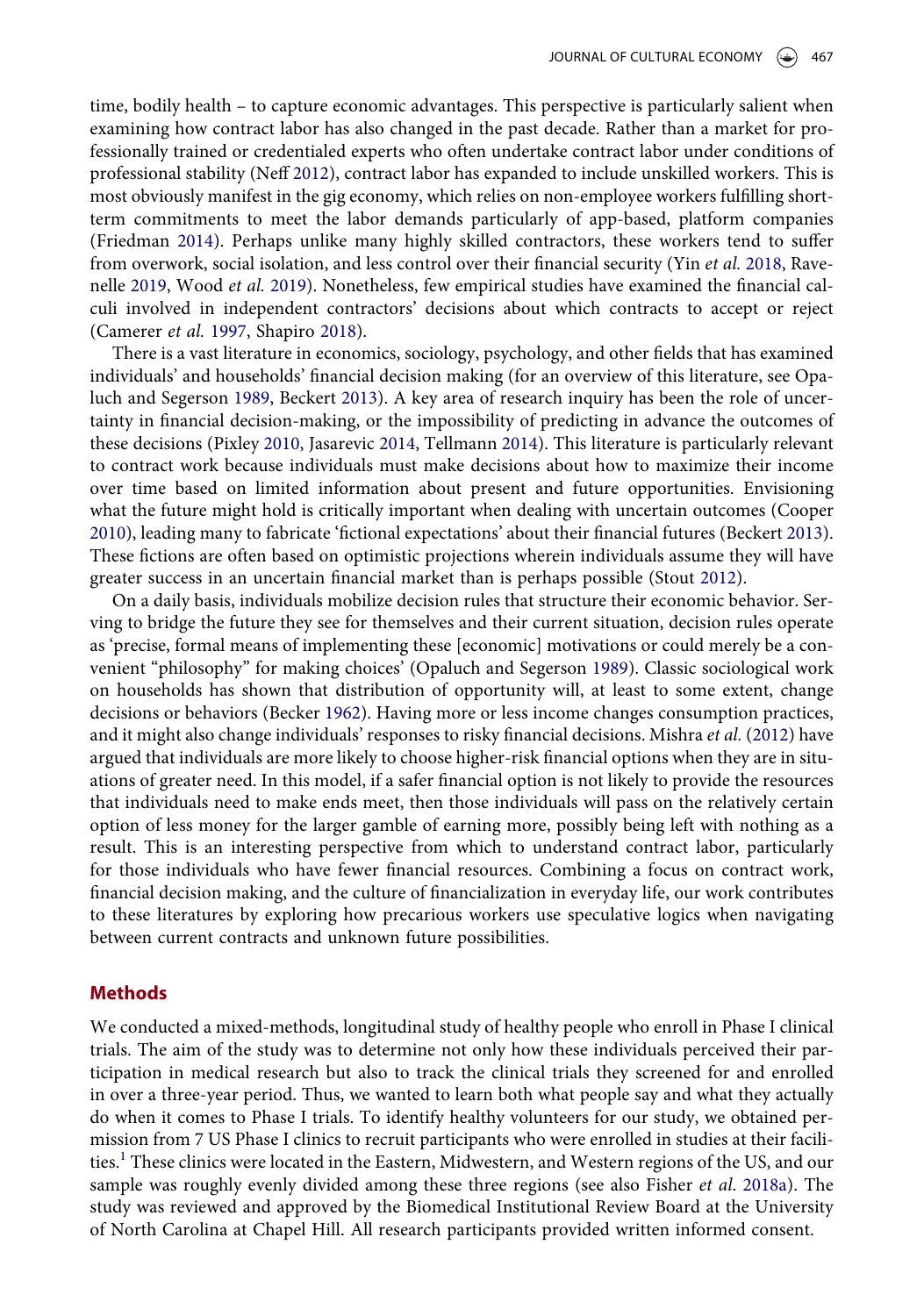<span id="page-3-5"></span>time, bodily health – to capture economic advantages. This perspective is particularly salient when examining how contract labor has also changed in the past decade. Rather than a market for professionally trained or credentialed experts who often undertake contract labor under conditions of professional stability (Neff [2012\)](#page-19-5), contract labor has expanded to include unskilled workers. This is most obviously manifest in the gig economy, which relies on non-employee workers fulfilling shortterm commitments to meet the labor demands particularly of app-based, platform companies (Friedman [2014](#page-18-11)). Perhaps unlike many highly skilled contractors, these workers tend to suffer from overwork, social isolation, and less control over their financial security (Yin et al. [2018](#page-20-1), Ravenelle [2019](#page-19-18), Wood et al. [2019\)](#page-20-2). Nonetheless, few empirical studies have examined the financial calculi involved in independent contractors' decisions about which contracts to accept or reject (Camerer et al. [1997,](#page-18-12) Shapiro [2018](#page-19-19)).

<span id="page-3-11"></span><span id="page-3-9"></span><span id="page-3-6"></span><span id="page-3-2"></span>There is a vast literature in economics, sociology, psychology, and other fields that has examined individuals' and households' financial decision making (for an overview of this literature, see Opaluch and Segerson [1989](#page-19-20), Beckert [2013\)](#page-18-13). A key area of research inquiry has been the role of uncertainty in financial decision-making, or the impossibility of predicting in advance the outcomes of these decisions (Pixley [2010](#page-19-21), Jasarevic [2014,](#page-19-22) Tellmann [2014](#page-20-3)). This literature is particularly relevant to contract work because individuals must make decisions about how to maximize their income over time based on limited information about present and future opportunities. Envisioning what the future might hold is critically important when dealing with uncertain outcomes (Cooper [2010](#page-18-14)), leading many to fabricate 'fictional expectations' about their financial futures (Beckert [2013](#page-18-13)). These fictions are often based on optimistic projections wherein individuals assume they will have greater success in an uncertain financial market than is perhaps possible (Stout [2012](#page-19-23)).

<span id="page-3-10"></span><span id="page-3-8"></span><span id="page-3-7"></span><span id="page-3-3"></span><span id="page-3-1"></span><span id="page-3-0"></span>On a daily basis, individuals mobilize decision rules that structure their economic behavior. Serving to bridge the future they see for themselves and their current situation, decision rules operate as 'precise, formal means of implementing these [economic] motivations or could merely be a convenient "philosophy" for making choices' (Opaluch and Segerson [1989\)](#page-19-20). Classic sociological work on households has shown that distribution of opportunity will, at least to some extent, change decisions or behaviors (Becker [1962\)](#page-18-15). Having more or less income changes consumption practices, and it might also change individuals' responses to risky financial decisions. Mishra et al. ([2012](#page-19-24)) have argued that individuals are more likely to choose higher-risk financial options when they are in situations of greater need. In this model, if a safer financial option is not likely to provide the resources that individuals need to make ends meet, then those individuals will pass on the relatively certain option of less money for the larger gamble of earning more, possibly being left with nothing as a result. This is an interesting perspective from which to understand contract labor, particularly for those individuals who have fewer financial resources. Combining a focus on contract work, financial decision making, and the culture of financialization in everyday life, our work contributes to these literatures by exploring how precarious workers use speculative logics when navigating between current contracts and unknown future possibilities.

## Methods

<span id="page-3-4"></span>We conducted a mixed-methods, longitudinal study of healthy people who enroll in Phase I clinical trials. The aim of the study was to determine not only how these individuals perceived their participation in medical research but also to track the clinical trials they screened for and enrolled in over a three-year period. Thus, we wanted to learn both what people say and what they actually do when it comes to Phase I trials. To identify healthy volunteers for our study, we obtained permission from 7 US Phase I clinics to recruit participants who were enrolled in studies at their facili-ties.<sup>[1](#page-16-0)</sup> These clinics were located in the Eastern, Midwestern, and Western regions of the US, and our sample was roughly evenly divided among these three regions (see also Fisher et al. [2018a](#page-18-16)). The study was reviewed and approved by the Biomedical Institutional Review Board at the University of North Carolina at Chapel Hill. All research participants provided written informed consent.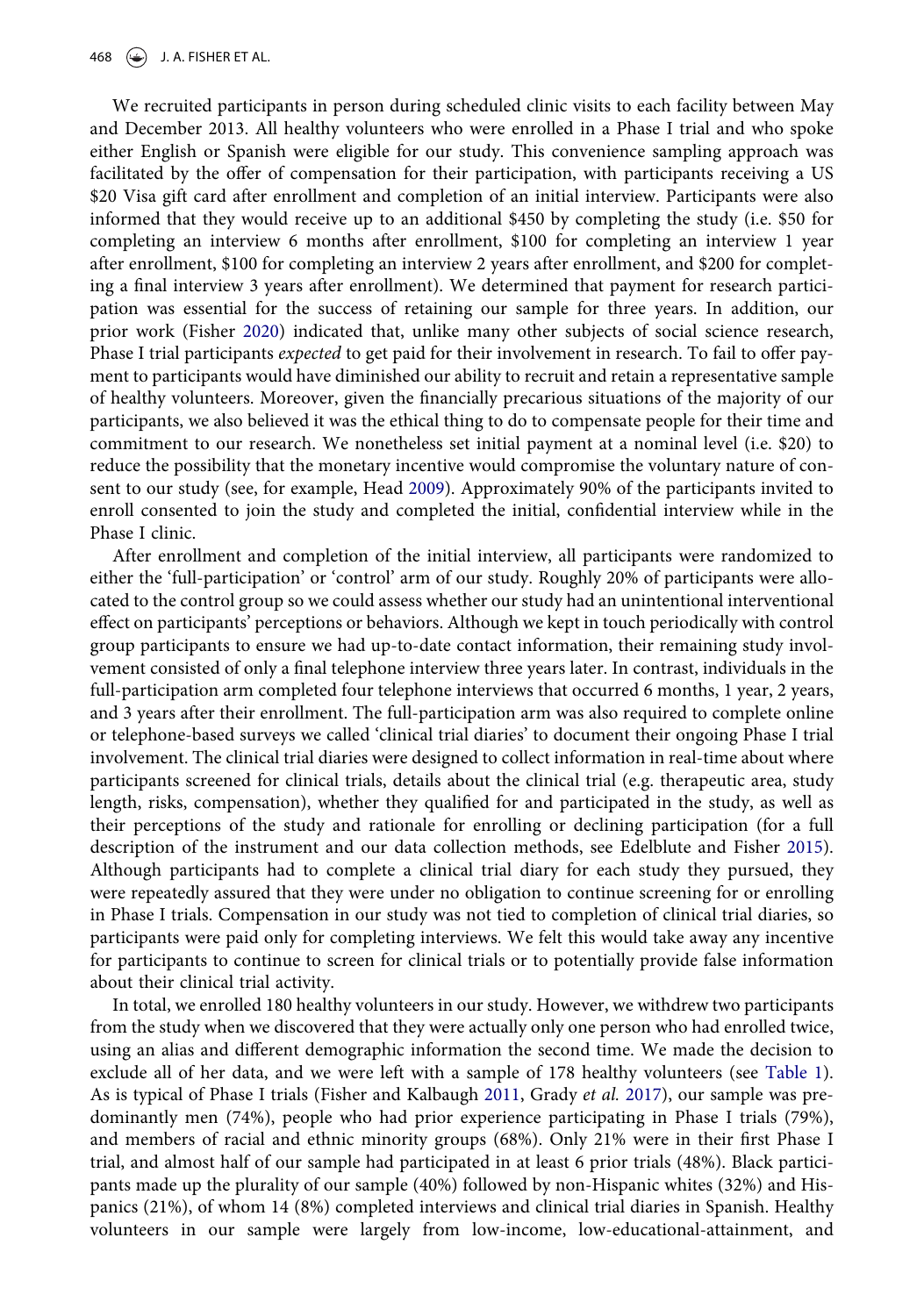<span id="page-4-0"></span>We recruited participants in person during scheduled clinic visits to each facility between May and December 2013. All healthy volunteers who were enrolled in a Phase I trial and who spoke either English or Spanish were eligible for our study. This convenience sampling approach was facilitated by the offer of compensation for their participation, with participants receiving a US \$20 Visa gift card after enrollment and completion of an initial interview. Participants were also informed that they would receive up to an additional \$450 by completing the study (i.e. \$50 for completing an interview 6 months after enrollment, \$100 for completing an interview 1 year after enrollment, \$100 for completing an interview 2 years after enrollment, and \$200 for completing a final interview 3 years after enrollment). We determined that payment for research participation was essential for the success of retaining our sample for three years. In addition, our prior work (Fisher [2020\)](#page-18-17) indicated that, unlike many other subjects of social science research, Phase I trial participants *expected* to get paid for their involvement in research. To fail to offer payment to participants would have diminished our ability to recruit and retain a representative sample of healthy volunteers. Moreover, given the financially precarious situations of the majority of our participants, we also believed it was the ethical thing to do to compensate people for their time and commitment to our research. We nonetheless set initial payment at a nominal level (i.e. \$20) to reduce the possibility that the monetary incentive would compromise the voluntary nature of consent to our study (see, for example, Head [2009](#page-19-25)). Approximately 90% of the participants invited to enroll consented to join the study and completed the initial, confidential interview while in the Phase I clinic.

<span id="page-4-2"></span>After enrollment and completion of the initial interview, all participants were randomized to either the 'full-participation' or 'control' arm of our study. Roughly 20% of participants were allocated to the control group so we could assess whether our study had an unintentional interventional effect on participants' perceptions or behaviors. Although we kept in touch periodically with control group participants to ensure we had up-to-date contact information, their remaining study involvement consisted of only a final telephone interview three years later. In contrast, individuals in the full-participation arm completed four telephone interviews that occurred 6 months, 1 year, 2 years, and 3 years after their enrollment. The full-participation arm was also required to complete online or telephone-based surveys we called 'clinical trial diaries' to document their ongoing Phase I trial involvement. The clinical trial diaries were designed to collect information in real-time about where participants screened for clinical trials, details about the clinical trial (e.g. therapeutic area, study length, risks, compensation), whether they qualified for and participated in the study, as well as their perceptions of the study and rationale for enrolling or declining participation (for a full description of the instrument and our data collection methods, see Edelblute and Fisher [2015](#page-18-3)). Although participants had to complete a clinical trial diary for each study they pursued, they were repeatedly assured that they were under no obligation to continue screening for or enrolling in Phase I trials. Compensation in our study was not tied to completion of clinical trial diaries, so participants were paid only for completing interviews. We felt this would take away any incentive for participants to continue to screen for clinical trials or to potentially provide false information about their clinical trial activity.

<span id="page-4-1"></span>In total, we enrolled 180 healthy volunteers in our study. However, we withdrew two participants from the study when we discovered that they were actually only one person who had enrolled twice, using an alias and different demographic information the second time. We made the decision to exclude all of her data, and we were left with a sample of 178 healthy volunteers (see [Table 1](#page-5-0)). As is typical of Phase I trials (Fisher and Kalbaugh [2011,](#page-18-18) Grady et al. [2017](#page-19-26)), our sample was predominantly men (74%), people who had prior experience participating in Phase I trials (79%), and members of racial and ethnic minority groups (68%). Only 21% were in their first Phase I trial, and almost half of our sample had participated in at least 6 prior trials (48%). Black participants made up the plurality of our sample (40%) followed by non-Hispanic whites (32%) and Hispanics (21%), of whom 14 (8%) completed interviews and clinical trial diaries in Spanish. Healthy volunteers in our sample were largely from low-income, low-educational-attainment, and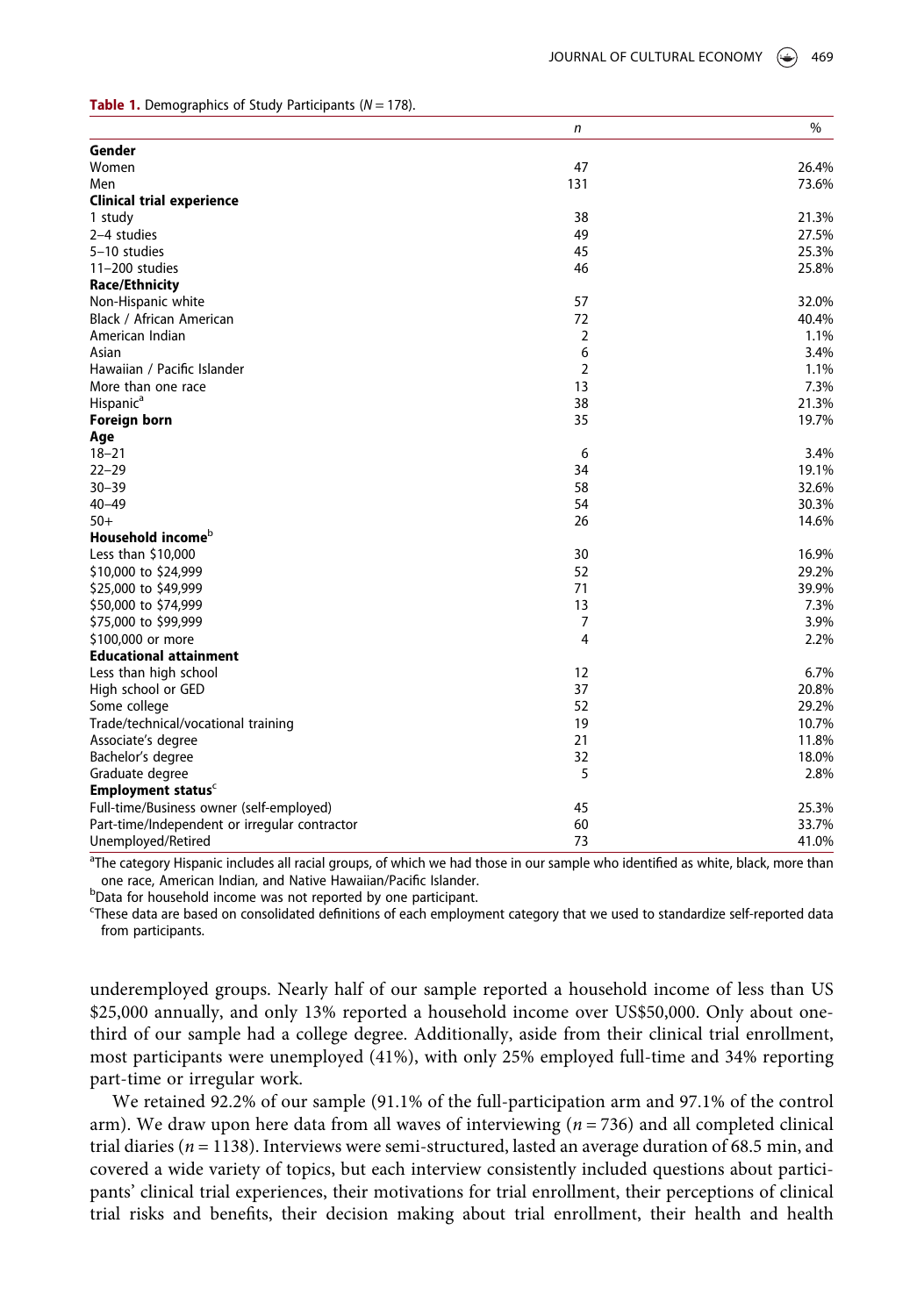#### <span id="page-5-0"></span>**Table 1.** Demographics of Study Participants ( $N = 178$ ).

|                                               | n              | %     |
|-----------------------------------------------|----------------|-------|
| Gender                                        |                |       |
| Women                                         | 47             | 26.4% |
| Men                                           | 131            | 73.6% |
| <b>Clinical trial experience</b>              |                |       |
| 1 study                                       | 38             | 21.3% |
| 2-4 studies                                   | 49             | 27.5% |
| 5-10 studies                                  | 45             | 25.3% |
| 11-200 studies                                | 46             | 25.8% |
| <b>Race/Ethnicity</b>                         |                |       |
| Non-Hispanic white                            | 57             | 32.0% |
| Black / African American                      | 72             | 40.4% |
| American Indian                               | 2              | 1.1%  |
| Asian                                         | 6              | 3.4%  |
| Hawaiian / Pacific Islander                   | $\overline{2}$ | 1.1%  |
| More than one race                            | 13             | 7.3%  |
| Hispanic <sup>a</sup>                         | 38             | 21.3% |
| Foreign born                                  | 35             | 19.7% |
| Age                                           |                |       |
| $18 - 21$                                     | 6              | 3.4%  |
| $22 - 29$                                     | 34             | 19.1% |
| $30 - 39$                                     | 58             | 32.6% |
| $40 - 49$                                     | 54             | 30.3% |
| $50+$                                         | 26             | 14.6% |
| Household income <sup>b</sup>                 |                |       |
| Less than \$10,000                            | 30             | 16.9% |
| \$10,000 to \$24,999                          | 52             | 29.2% |
| \$25,000 to \$49,999                          | 71             | 39.9% |
| \$50,000 to \$74,999                          | 13             | 7.3%  |
| \$75,000 to \$99,999                          | $\overline{7}$ | 3.9%  |
| \$100,000 or more                             | 4              | 2.2%  |
| <b>Educational attainment</b>                 |                |       |
| Less than high school                         | 12             | 6.7%  |
| High school or GED                            | 37             | 20.8% |
| Some college                                  | 52             | 29.2% |
| Trade/technical/vocational training           | 19             | 10.7% |
| Associate's degree                            | 21             | 11.8% |
| Bachelor's degree                             | 32             | 18.0% |
| Graduate degree                               | 5              | 2.8%  |
| Employment status <sup>c</sup>                |                |       |
| Full-time/Business owner (self-employed)      | 45             | 25.3% |
| Part-time/Independent or irregular contractor | 60             | 33.7% |
| Unemployed/Retired                            | 73             | 41.0% |

<sup>a</sup>The category Hispanic includes all racial groups, of which we had those in our sample who identified as white, black, more than one race, American Indian, and Native Hawaiian/Pacific Islander. <sup>b</sup>

bData for household income was not reported by one participant.

c These data are based on consolidated definitions of each employment category that we used to standardize self-reported data from participants.

underemployed groups. Nearly half of our sample reported a household income of less than US \$25,000 annually, and only 13% reported a household income over US\$50,000. Only about onethird of our sample had a college degree. Additionally, aside from their clinical trial enrollment, most participants were unemployed (41%), with only 25% employed full-time and 34% reporting part-time or irregular work.

We retained 92.2% of our sample (91.1% of the full-participation arm and 97.1% of the control arm). We draw upon here data from all waves of interviewing ( $n = 736$ ) and all completed clinical trial diaries ( $n = 1138$ ). Interviews were semi-structured, lasted an average duration of 68.5 min, and covered a wide variety of topics, but each interview consistently included questions about participants' clinical trial experiences, their motivations for trial enrollment, their perceptions of clinical trial risks and benefits, their decision making about trial enrollment, their health and health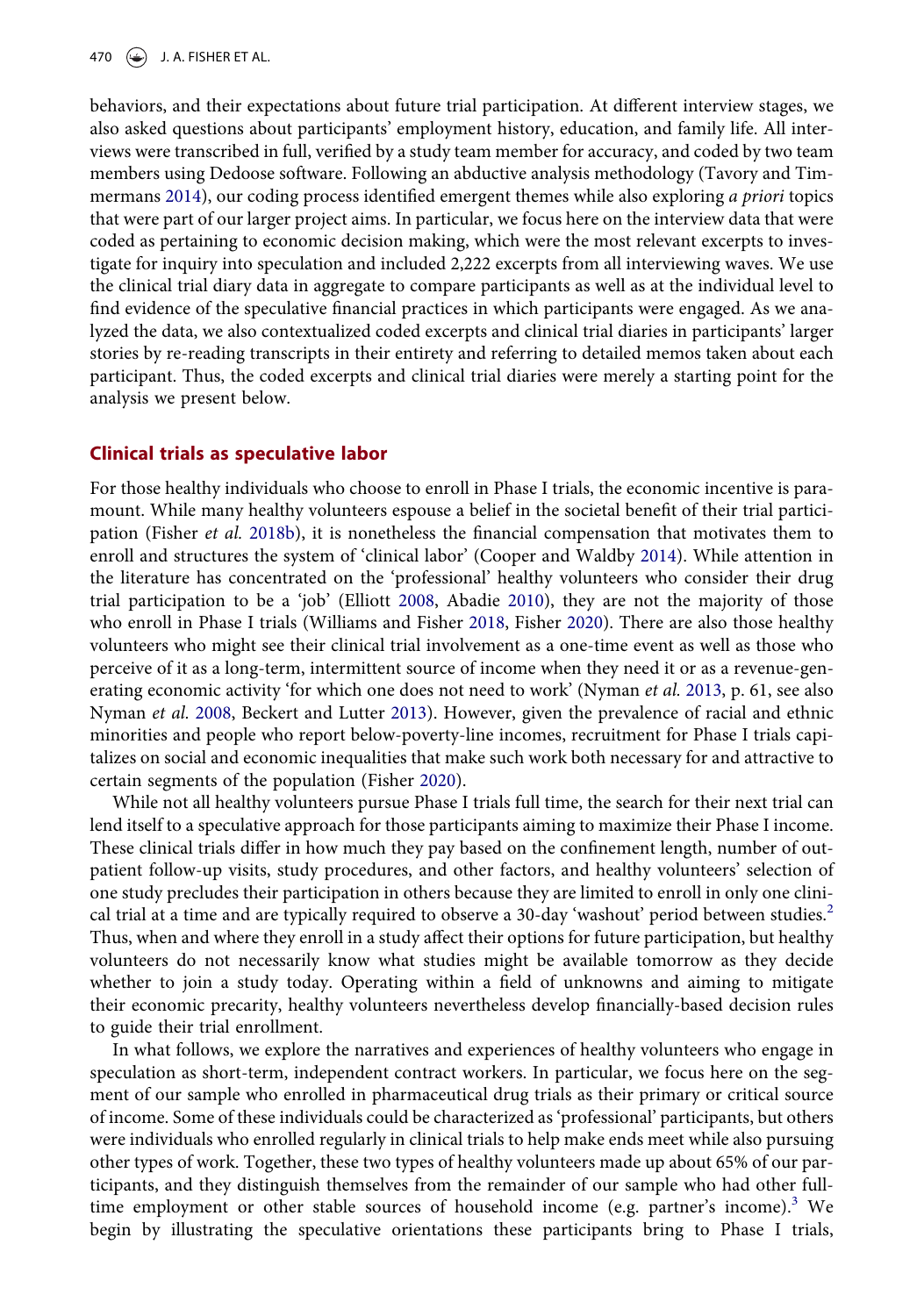470  $\left(\bigcirc\right)$  J. A. FISHER ET AL.

<span id="page-6-5"></span>behaviors, and their expectations about future trial participation. At different interview stages, we also asked questions about participants' employment history, education, and family life. All interviews were transcribed in full, verified by a study team member for accuracy, and coded by two team members using Dedoose software. Following an abductive analysis methodology (Tavory and Tim-mermans [2014](#page-20-4)), our coding process identified emergent themes while also exploring a priori topics that were part of our larger project aims. In particular, we focus here on the interview data that were coded as pertaining to economic decision making, which were the most relevant excerpts to investigate for inquiry into speculation and included 2,222 excerpts from all interviewing waves. We use the clinical trial diary data in aggregate to compare participants as well as at the individual level to find evidence of the speculative financial practices in which participants were engaged. As we analyzed the data, we also contextualized coded excerpts and clinical trial diaries in participants' larger stories by re-reading transcripts in their entirety and referring to detailed memos taken about each participant. Thus, the coded excerpts and clinical trial diaries were merely a starting point for the analysis we present below.

## Clinical trials as speculative labor

<span id="page-6-6"></span><span id="page-6-3"></span><span id="page-6-2"></span><span id="page-6-1"></span>For those healthy individuals who choose to enroll in Phase I trials, the economic incentive is paramount. While many healthy volunteers espouse a belief in the societal benefit of their trial participation (Fisher et al. [2018b](#page-18-19)), it is nonetheless the financial compensation that motivates them to enroll and structures the system of 'clinical labor' (Cooper and Waldby [2014](#page-18-20)). While attention in the literature has concentrated on the 'professional' healthy volunteers who consider their drug trial participation to be a 'job' (Elliott [2008](#page-18-21), Abadie [2010](#page-17-0)), they are not the majority of those who enroll in Phase I trials (Williams and Fisher [2018,](#page-20-5) Fisher [2020\)](#page-18-17). There are also those healthy volunteers who might see their clinical trial involvement as a one-time event as well as those who perceive of it as a long-term, intermittent source of income when they need it or as a revenue-gen-erating economic activity 'for which one does not need to work' (Nyman et al. [2013](#page-19-27), p. 61, see also Nyman et al. [2008,](#page-19-28) Beckert and Lutter [2013\)](#page-18-22). However, given the prevalence of racial and ethnic minorities and people who report below-poverty-line incomes, recruitment for Phase I trials capitalizes on social and economic inequalities that make such work both necessary for and attractive to certain segments of the population (Fisher [2020](#page-18-17)).

<span id="page-6-4"></span><span id="page-6-0"></span>While not all healthy volunteers pursue Phase I trials full time, the search for their next trial can lend itself to a speculative approach for those participants aiming to maximize their Phase I income. These clinical trials differ in how much they pay based on the confinement length, number of outpatient follow-up visits, study procedures, and other factors, and healthy volunteers' selection of one study precludes their participation in others because they are limited to enroll in only one clini-cal trial at a time and are typically required to observe a 30-day 'washout' period between studies.<sup>[2](#page-17-1)</sup> Thus, when and where they enroll in a study affect their options for future participation, but healthy volunteers do not necessarily know what studies might be available tomorrow as they decide whether to join a study today. Operating within a field of unknowns and aiming to mitigate their economic precarity, healthy volunteers nevertheless develop financially-based decision rules to guide their trial enrollment.

In what follows, we explore the narratives and experiences of healthy volunteers who engage in speculation as short-term, independent contract workers. In particular, we focus here on the segment of our sample who enrolled in pharmaceutical drug trials as their primary or critical source of income. Some of these individuals could be characterized as 'professional' participants, but others were individuals who enrolled regularly in clinical trials to help make ends meet while also pursuing other types of work. Together, these two types of healthy volunteers made up about 65% of our participants, and they distinguish themselves from the remainder of our sample who had other full-time employment or other stable sources of household income (e.g. partner's income).<sup>[3](#page-17-2)</sup> We begin by illustrating the speculative orientations these participants bring to Phase I trials,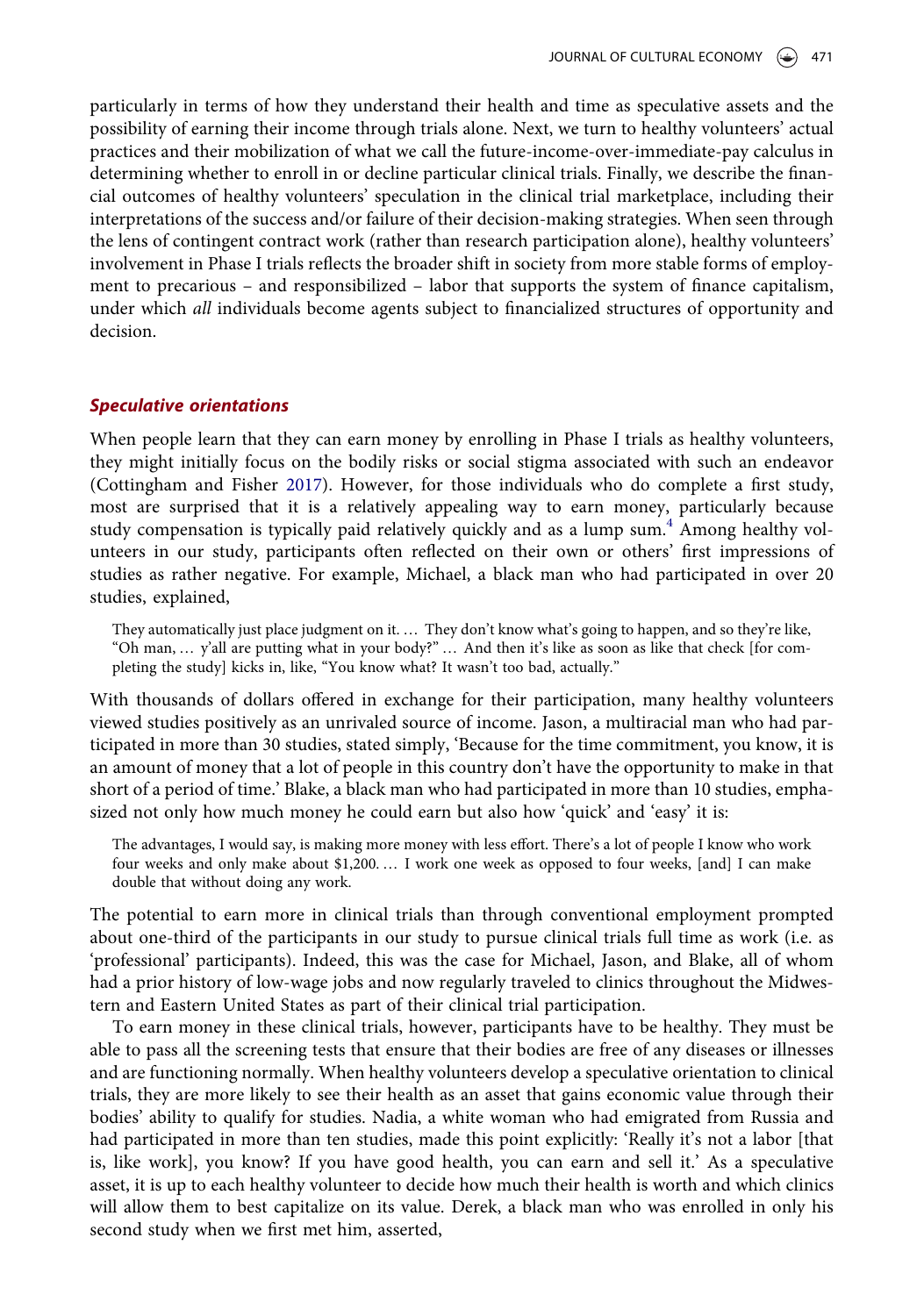particularly in terms of how they understand their health and time as speculative assets and the possibility of earning their income through trials alone. Next, we turn to healthy volunteers' actual practices and their mobilization of what we call the future-income-over-immediate-pay calculus in determining whether to enroll in or decline particular clinical trials. Finally, we describe the financial outcomes of healthy volunteers' speculation in the clinical trial marketplace, including their interpretations of the success and/or failure of their decision-making strategies. When seen through the lens of contingent contract work (rather than research participation alone), healthy volunteers' involvement in Phase I trials reflects the broader shift in society from more stable forms of employment to precarious – and responsibilized – labor that supports the system of finance capitalism, under which *all* individuals become agents subject to financialized structures of opportunity and decision.

## Speculative orientations

<span id="page-7-0"></span>When people learn that they can earn money by enrolling in Phase I trials as healthy volunteers, they might initially focus on the bodily risks or social stigma associated with such an endeavor (Cottingham and Fisher [2017\)](#page-18-23). However, for those individuals who do complete a first study, most are surprised that it is a relatively appealing way to earn money, particularly because study compensation is typically paid relatively quickly and as a lump sum.<sup>[4](#page-17-3)</sup> Among healthy volunteers in our study, participants often reflected on their own or others' first impressions of studies as rather negative. For example, Michael, a black man who had participated in over 20 studies, explained,

They automatically just place judgment on it. … They don't know what's going to happen, and so they're like, "Oh man, … y'all are putting what in your body?" … And then it's like as soon as like that check [for completing the study] kicks in, like, "You know what? It wasn't too bad, actually."

With thousands of dollars offered in exchange for their participation, many healthy volunteers viewed studies positively as an unrivaled source of income. Jason, a multiracial man who had participated in more than 30 studies, stated simply, 'Because for the time commitment, you know, it is an amount of money that a lot of people in this country don't have the opportunity to make in that short of a period of time.' Blake, a black man who had participated in more than 10 studies, emphasized not only how much money he could earn but also how 'quick' and 'easy' it is:

The advantages, I would say, is making more money with less effort. There's a lot of people I know who work four weeks and only make about \$1,200. … I work one week as opposed to four weeks, [and] I can make double that without doing any work.

The potential to earn more in clinical trials than through conventional employment prompted about one-third of the participants in our study to pursue clinical trials full time as work (i.e. as 'professional' participants). Indeed, this was the case for Michael, Jason, and Blake, all of whom had a prior history of low-wage jobs and now regularly traveled to clinics throughout the Midwestern and Eastern United States as part of their clinical trial participation.

To earn money in these clinical trials, however, participants have to be healthy. They must be able to pass all the screening tests that ensure that their bodies are free of any diseases or illnesses and are functioning normally. When healthy volunteers develop a speculative orientation to clinical trials, they are more likely to see their health as an asset that gains economic value through their bodies' ability to qualify for studies. Nadia, a white woman who had emigrated from Russia and had participated in more than ten studies, made this point explicitly: 'Really it's not a labor [that is, like work], you know? If you have good health, you can earn and sell it.' As a speculative asset, it is up to each healthy volunteer to decide how much their health is worth and which clinics will allow them to best capitalize on its value. Derek, a black man who was enrolled in only his second study when we first met him, asserted,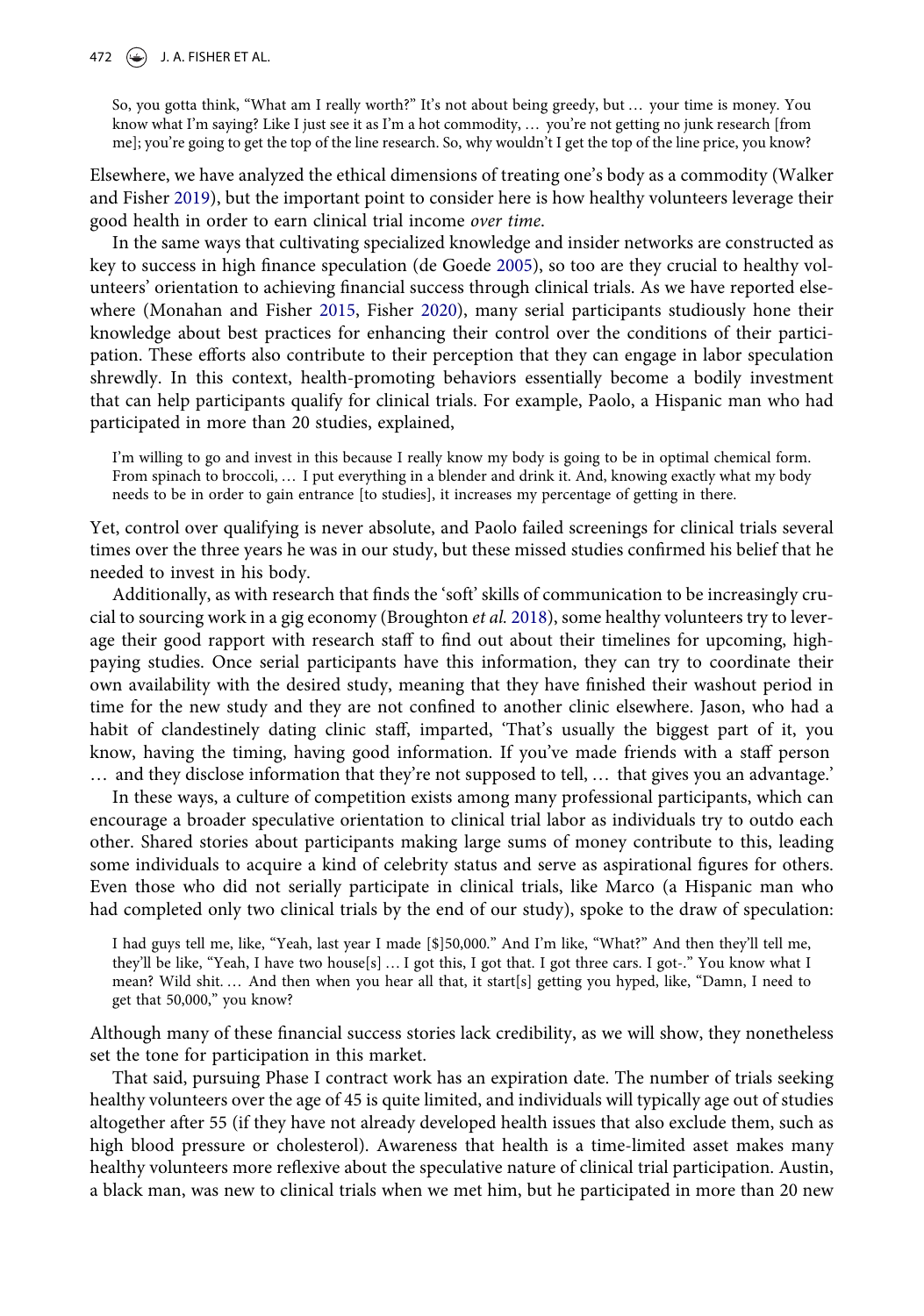472  $\left(\rightarrow\right)$  J. A. FISHER ET AL.

So, you gotta think, "What am I really worth?" It's not about being greedy, but … your time is money. You know what I'm saying? Like I just see it as I'm a hot commodity, ... you're not getting no junk research [from me]; you're going to get the top of the line research. So, why wouldn't I get the top of the line price, you know?

<span id="page-8-3"></span>Elsewhere, we have analyzed the ethical dimensions of treating one's body as a commodity (Walker and Fisher [2019](#page-20-6)), but the important point to consider here is how healthy volunteers leverage their good health in order to earn clinical trial income over time.

<span id="page-8-2"></span><span id="page-8-1"></span>In the same ways that cultivating specialized knowledge and insider networks are constructed as key to success in high finance speculation (de Goede [2005](#page-18-24)), so too are they crucial to healthy volunteers' orientation to achieving financial success through clinical trials. As we have reported elsewhere (Monahan and Fisher [2015,](#page-19-29) Fisher [2020](#page-18-17)), many serial participants studiously hone their knowledge about best practices for enhancing their control over the conditions of their participation. These efforts also contribute to their perception that they can engage in labor speculation shrewdly. In this context, health-promoting behaviors essentially become a bodily investment that can help participants qualify for clinical trials. For example, Paolo, a Hispanic man who had participated in more than 20 studies, explained,

I'm willing to go and invest in this because I really know my body is going to be in optimal chemical form. From spinach to broccoli, … I put everything in a blender and drink it. And, knowing exactly what my body needs to be in order to gain entrance [to studies], it increases my percentage of getting in there.

Yet, control over qualifying is never absolute, and Paolo failed screenings for clinical trials several times over the three years he was in our study, but these missed studies confirmed his belief that he needed to invest in his body.

<span id="page-8-0"></span>Additionally, as with research that finds the 'soft' skills of communication to be increasingly cru-cial to sourcing work in a gig economy (Broughton et al. [2018](#page-18-25)), some healthy volunteers try to leverage their good rapport with research staff to find out about their timelines for upcoming, highpaying studies. Once serial participants have this information, they can try to coordinate their own availability with the desired study, meaning that they have finished their washout period in time for the new study and they are not confined to another clinic elsewhere. Jason, who had a habit of clandestinely dating clinic staff, imparted, 'That's usually the biggest part of it, you know, having the timing, having good information. If you've made friends with a staff person … and they disclose information that they're not supposed to tell, … that gives you an advantage.'

In these ways, a culture of competition exists among many professional participants, which can encourage a broader speculative orientation to clinical trial labor as individuals try to outdo each other. Shared stories about participants making large sums of money contribute to this, leading some individuals to acquire a kind of celebrity status and serve as aspirational figures for others. Even those who did not serially participate in clinical trials, like Marco (a Hispanic man who had completed only two clinical trials by the end of our study), spoke to the draw of speculation:

I had guys tell me, like, "Yeah, last year I made [\$]50,000." And I'm like, "What?" And then they'll tell me, they'll be like, "Yeah, I have two house[s] … I got this, I got that. I got three cars. I got-." You know what I mean? Wild shit. … And then when you hear all that, it start[s] getting you hyped, like, "Damn, I need to get that 50,000," you know?

Although many of these financial success stories lack credibility, as we will show, they nonetheless set the tone for participation in this market.

That said, pursuing Phase I contract work has an expiration date. The number of trials seeking healthy volunteers over the age of 45 is quite limited, and individuals will typically age out of studies altogether after 55 (if they have not already developed health issues that also exclude them, such as high blood pressure or cholesterol). Awareness that health is a time-limited asset makes many healthy volunteers more reflexive about the speculative nature of clinical trial participation. Austin, a black man, was new to clinical trials when we met him, but he participated in more than 20 new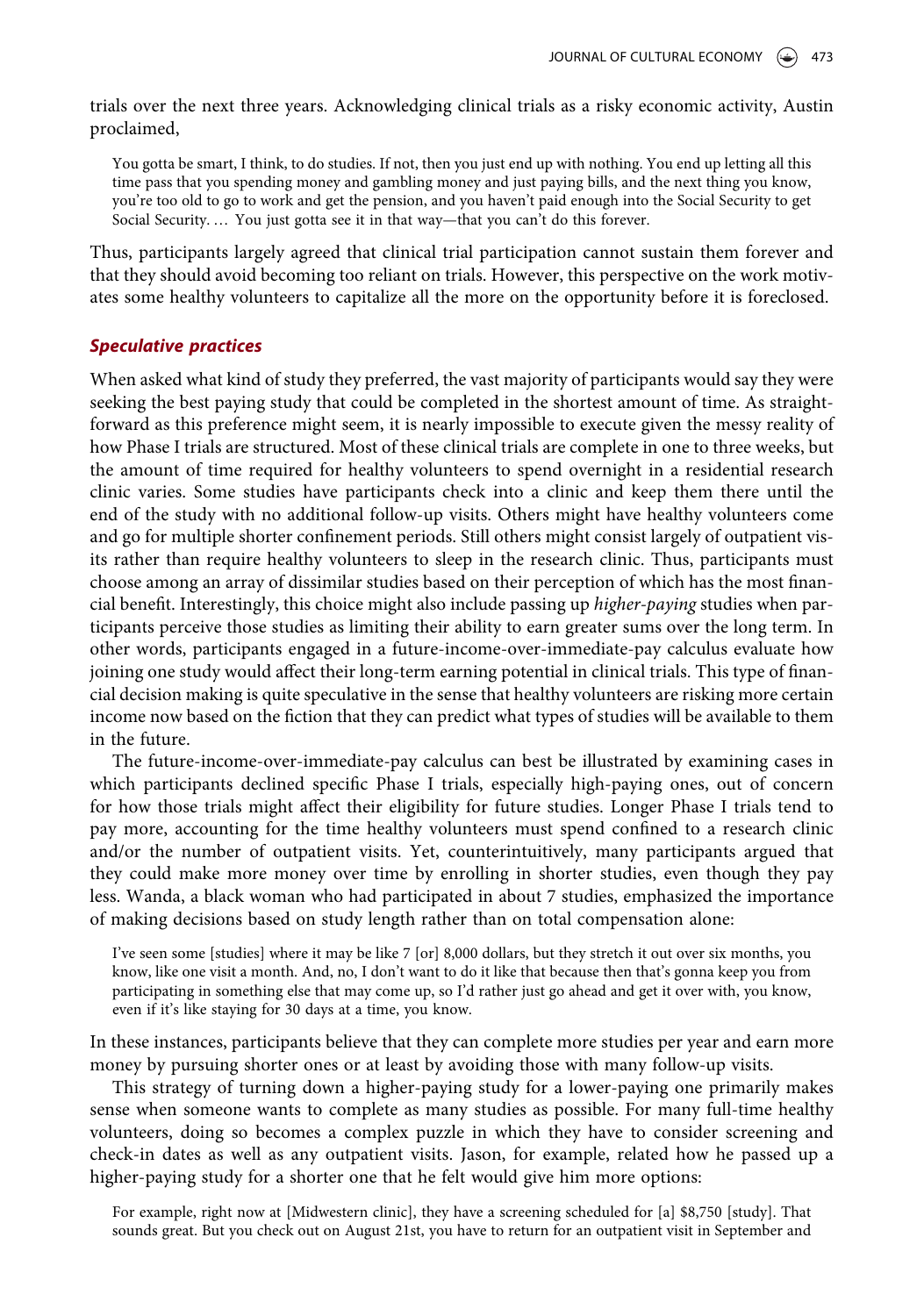trials over the next three years. Acknowledging clinical trials as a risky economic activity, Austin proclaimed,

You gotta be smart, I think, to do studies. If not, then you just end up with nothing. You end up letting all this time pass that you spending money and gambling money and just paying bills, and the next thing you know, you're too old to go to work and get the pension, and you haven't paid enough into the Social Security to get Social Security. … You just gotta see it in that way—that you can't do this forever.

Thus, participants largely agreed that clinical trial participation cannot sustain them forever and that they should avoid becoming too reliant on trials. However, this perspective on the work motivates some healthy volunteers to capitalize all the more on the opportunity before it is foreclosed.

### Speculative practices

When asked what kind of study they preferred, the vast majority of participants would say they were seeking the best paying study that could be completed in the shortest amount of time. As straightforward as this preference might seem, it is nearly impossible to execute given the messy reality of how Phase I trials are structured. Most of these clinical trials are complete in one to three weeks, but the amount of time required for healthy volunteers to spend overnight in a residential research clinic varies. Some studies have participants check into a clinic and keep them there until the end of the study with no additional follow-up visits. Others might have healthy volunteers come and go for multiple shorter confinement periods. Still others might consist largely of outpatient visits rather than require healthy volunteers to sleep in the research clinic. Thus, participants must choose among an array of dissimilar studies based on their perception of which has the most financial benefit. Interestingly, this choice might also include passing up *higher-paying* studies when participants perceive those studies as limiting their ability to earn greater sums over the long term. In other words, participants engaged in a future-income-over-immediate-pay calculus evaluate how joining one study would affect their long-term earning potential in clinical trials. This type of financial decision making is quite speculative in the sense that healthy volunteers are risking more certain income now based on the fiction that they can predict what types of studies will be available to them in the future.

The future-income-over-immediate-pay calculus can best be illustrated by examining cases in which participants declined specific Phase I trials, especially high-paying ones, out of concern for how those trials might affect their eligibility for future studies. Longer Phase I trials tend to pay more, accounting for the time healthy volunteers must spend confined to a research clinic and/or the number of outpatient visits. Yet, counterintuitively, many participants argued that they could make more money over time by enrolling in shorter studies, even though they pay less. Wanda, a black woman who had participated in about 7 studies, emphasized the importance of making decisions based on study length rather than on total compensation alone:

I've seen some [studies] where it may be like 7 [or] 8,000 dollars, but they stretch it out over six months, you know, like one visit a month. And, no, I don't want to do it like that because then that's gonna keep you from participating in something else that may come up, so I'd rather just go ahead and get it over with, you know, even if it's like staying for 30 days at a time, you know.

In these instances, participants believe that they can complete more studies per year and earn more money by pursuing shorter ones or at least by avoiding those with many follow-up visits.

This strategy of turning down a higher-paying study for a lower-paying one primarily makes sense when someone wants to complete as many studies as possible. For many full-time healthy volunteers, doing so becomes a complex puzzle in which they have to consider screening and check-in dates as well as any outpatient visits. Jason, for example, related how he passed up a higher-paying study for a shorter one that he felt would give him more options:

For example, right now at [Midwestern clinic], they have a screening scheduled for [a] \$8,750 [study]. That sounds great. But you check out on August 21st, you have to return for an outpatient visit in September and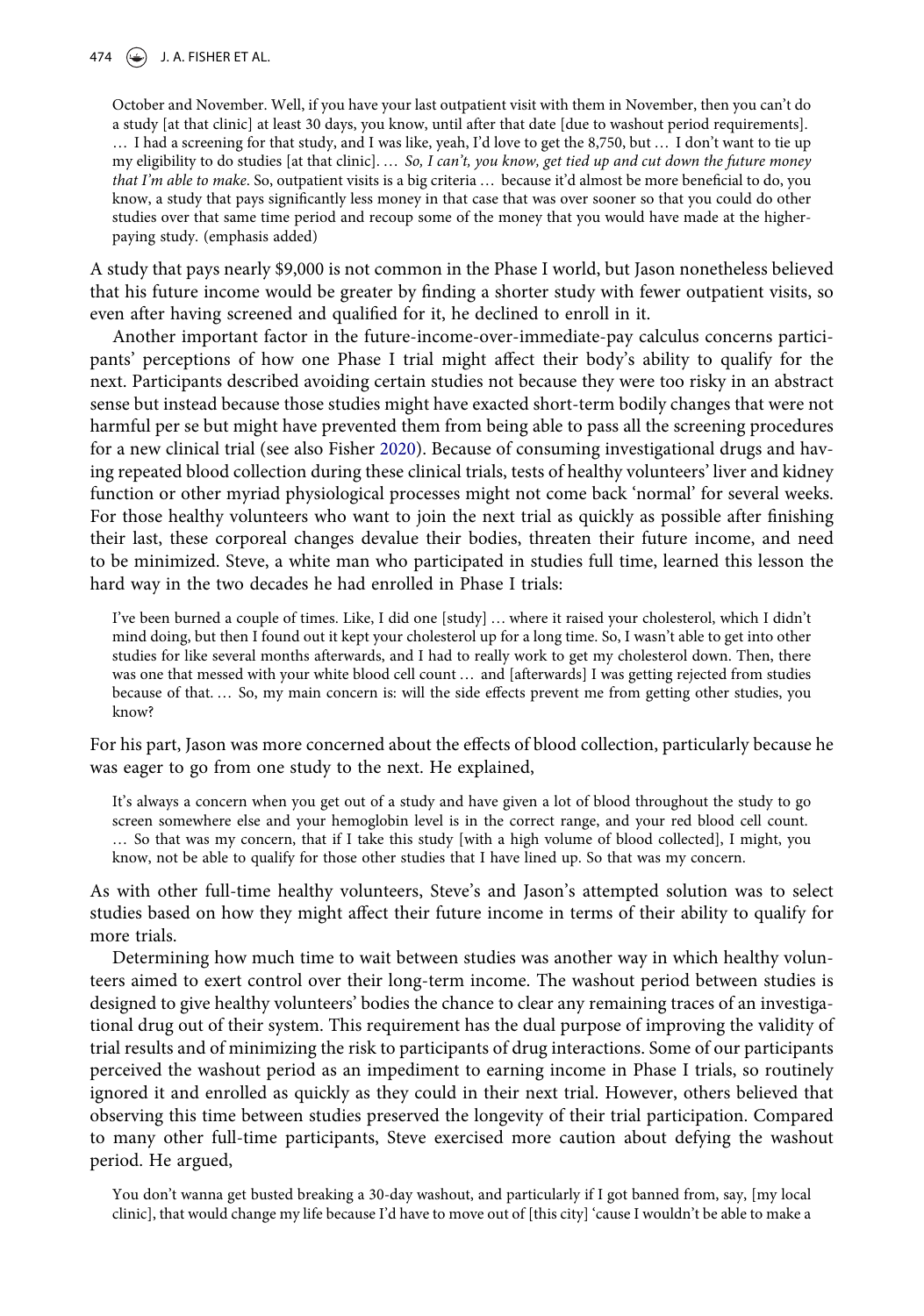October and November. Well, if you have your last outpatient visit with them in November, then you can't do a study [at that clinic] at least 30 days, you know, until after that date [due to washout period requirements]. … I had a screening for that study, and I was like, yeah, I'd love to get the 8,750, but … I don't want to tie up my eligibility to do studies [at that clinic]. … So, I can't, you know, get tied up and cut down the future money that I'm able to make. So, outpatient visits is a big criteria ... because it'd almost be more beneficial to do, you know, a study that pays significantly less money in that case that was over sooner so that you could do other studies over that same time period and recoup some of the money that you would have made at the higherpaying study. (emphasis added)

A study that pays nearly \$9,000 is not common in the Phase I world, but Jason nonetheless believed that his future income would be greater by finding a shorter study with fewer outpatient visits, so even after having screened and qualified for it, he declined to enroll in it.

Another important factor in the future-income-over-immediate-pay calculus concerns participants' perceptions of how one Phase I trial might affect their body's ability to qualify for the next. Participants described avoiding certain studies not because they were too risky in an abstract sense but instead because those studies might have exacted short-term bodily changes that were not harmful per se but might have prevented them from being able to pass all the screening procedures for a new clinical trial (see also Fisher [2020](#page-18-17)). Because of consuming investigational drugs and having repeated blood collection during these clinical trials, tests of healthy volunteers' liver and kidney function or other myriad physiological processes might not come back 'normal' for several weeks. For those healthy volunteers who want to join the next trial as quickly as possible after finishing their last, these corporeal changes devalue their bodies, threaten their future income, and need to be minimized. Steve, a white man who participated in studies full time, learned this lesson the hard way in the two decades he had enrolled in Phase I trials:

I've been burned a couple of times. Like, I did one [study] … where it raised your cholesterol, which I didn't mind doing, but then I found out it kept your cholesterol up for a long time. So, I wasn't able to get into other studies for like several months afterwards, and I had to really work to get my cholesterol down. Then, there was one that messed with your white blood cell count … and [afterwards] I was getting rejected from studies because of that. … So, my main concern is: will the side effects prevent me from getting other studies, you know?

For his part, Jason was more concerned about the effects of blood collection, particularly because he was eager to go from one study to the next. He explained,

It's always a concern when you get out of a study and have given a lot of blood throughout the study to go screen somewhere else and your hemoglobin level is in the correct range, and your red blood cell count. … So that was my concern, that if I take this study [with a high volume of blood collected], I might, you know, not be able to qualify for those other studies that I have lined up. So that was my concern.

As with other full-time healthy volunteers, Steve's and Jason's attempted solution was to select studies based on how they might affect their future income in terms of their ability to qualify for more trials.

Determining how much time to wait between studies was another way in which healthy volunteers aimed to exert control over their long-term income. The washout period between studies is designed to give healthy volunteers' bodies the chance to clear any remaining traces of an investigational drug out of their system. This requirement has the dual purpose of improving the validity of trial results and of minimizing the risk to participants of drug interactions. Some of our participants perceived the washout period as an impediment to earning income in Phase I trials, so routinely ignored it and enrolled as quickly as they could in their next trial. However, others believed that observing this time between studies preserved the longevity of their trial participation. Compared to many other full-time participants, Steve exercised more caution about defying the washout period. He argued,

You don't wanna get busted breaking a 30-day washout, and particularly if I got banned from, say, [my local clinic], that would change my life because I'd have to move out of [this city] 'cause I wouldn't be able to make a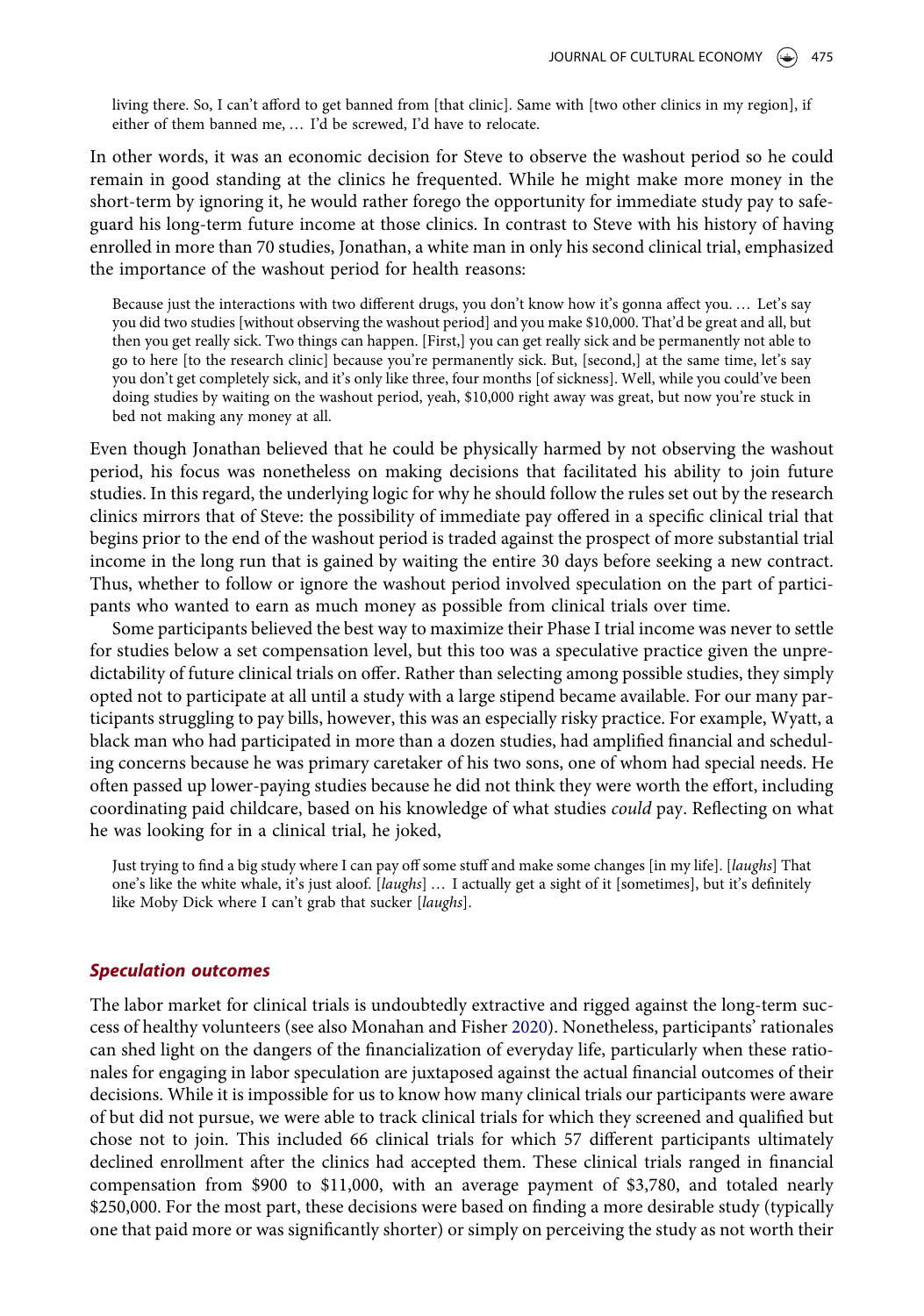living there. So, I can't afford to get banned from [that clinic]. Same with [two other clinics in my region], if either of them banned me, … I'd be screwed, I'd have to relocate.

In other words, it was an economic decision for Steve to observe the washout period so he could remain in good standing at the clinics he frequented. While he might make more money in the short-term by ignoring it, he would rather forego the opportunity for immediate study pay to safeguard his long-term future income at those clinics. In contrast to Steve with his history of having enrolled in more than 70 studies, Jonathan, a white man in only his second clinical trial, emphasized the importance of the washout period for health reasons:

Because just the interactions with two different drugs, you don't know how it's gonna affect you. … Let's say you did two studies [without observing the washout period] and you make \$10,000. That'd be great and all, but then you get really sick. Two things can happen. [First,] you can get really sick and be permanently not able to go to here [to the research clinic] because you're permanently sick. But, [second,] at the same time, let's say you don't get completely sick, and it's only like three, four months [of sickness]. Well, while you could've been doing studies by waiting on the washout period, yeah, \$10,000 right away was great, but now you're stuck in bed not making any money at all.

Even though Jonathan believed that he could be physically harmed by not observing the washout period, his focus was nonetheless on making decisions that facilitated his ability to join future studies. In this regard, the underlying logic for why he should follow the rules set out by the research clinics mirrors that of Steve: the possibility of immediate pay offered in a specific clinical trial that begins prior to the end of the washout period is traded against the prospect of more substantial trial income in the long run that is gained by waiting the entire 30 days before seeking a new contract. Thus, whether to follow or ignore the washout period involved speculation on the part of participants who wanted to earn as much money as possible from clinical trials over time.

Some participants believed the best way to maximize their Phase I trial income was never to settle for studies below a set compensation level, but this too was a speculative practice given the unpredictability of future clinical trials on offer. Rather than selecting among possible studies, they simply opted not to participate at all until a study with a large stipend became available. For our many participants struggling to pay bills, however, this was an especially risky practice. For example, Wyatt, a black man who had participated in more than a dozen studies, had amplified financial and scheduling concerns because he was primary caretaker of his two sons, one of whom had special needs. He often passed up lower-paying studies because he did not think they were worth the effort, including coordinating paid childcare, based on his knowledge of what studies could pay. Reflecting on what he was looking for in a clinical trial, he joked,

Just trying to find a big study where I can pay off some stuff and make some changes [in my life]. [laughs] That one's like the white whale, it's just aloof. [laughs] ... I actually get a sight of it [sometimes], but it's definitely like Moby Dick where I can't grab that sucker [laughs].

## Speculation outcomes

<span id="page-11-0"></span>The labor market for clinical trials is undoubtedly extractive and rigged against the long-term success of healthy volunteers (see also Monahan and Fisher [2020](#page-19-30)). Nonetheless, participants' rationales can shed light on the dangers of the financialization of everyday life, particularly when these rationales for engaging in labor speculation are juxtaposed against the actual financial outcomes of their decisions. While it is impossible for us to know how many clinical trials our participants were aware of but did not pursue, we were able to track clinical trials for which they screened and qualified but chose not to join. This included 66 clinical trials for which 57 different participants ultimately declined enrollment after the clinics had accepted them. These clinical trials ranged in financial compensation from \$900 to \$11,000, with an average payment of \$3,780, and totaled nearly \$250,000. For the most part, these decisions were based on finding a more desirable study (typically one that paid more or was significantly shorter) or simply on perceiving the study as not worth their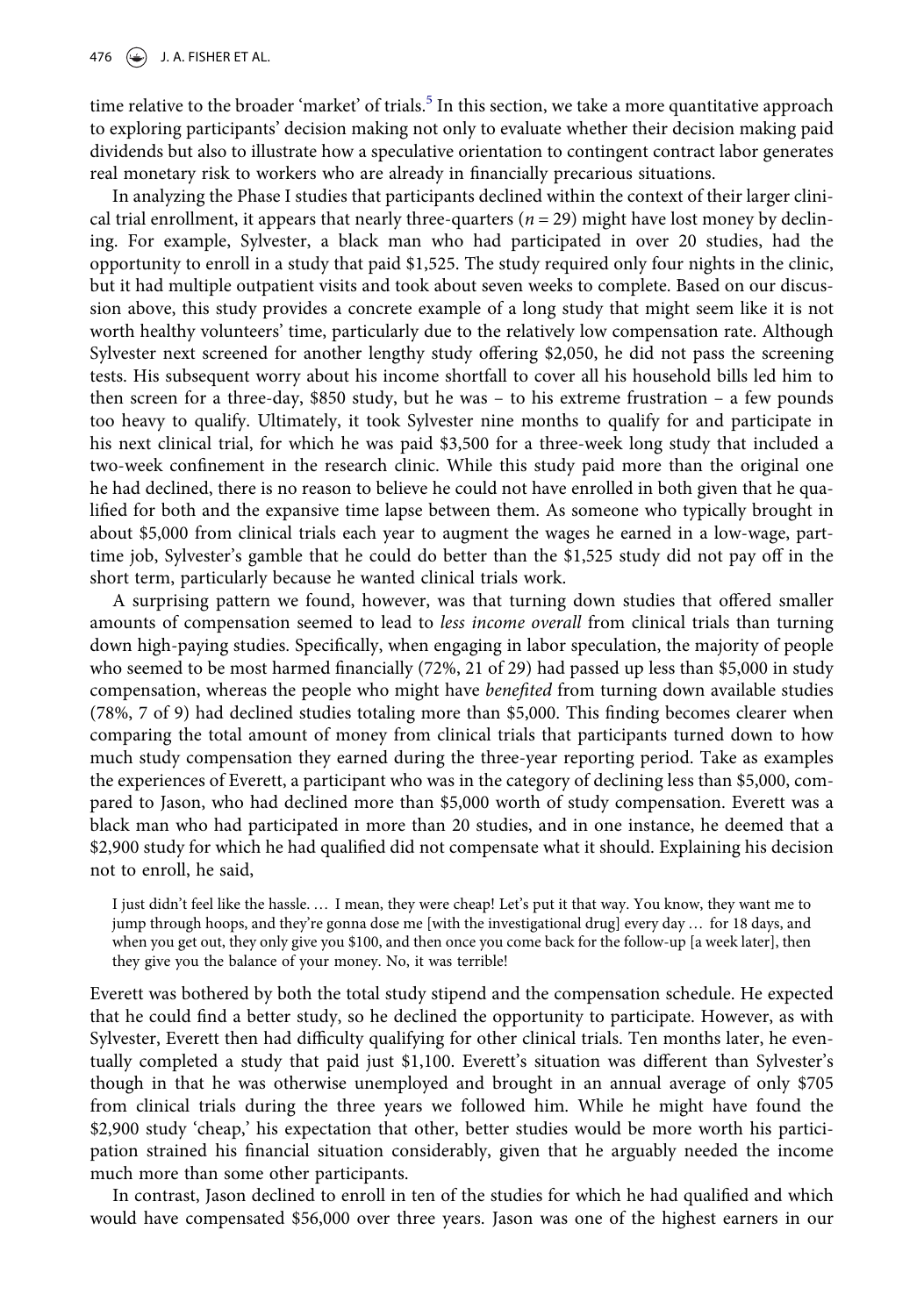time relative to the broader 'market' of trials.<sup>5</sup> In this section, we take a more quantitative approach to exploring participants' decision making not only to evaluate whether their decision making paid dividends but also to illustrate how a speculative orientation to contingent contract labor generates real monetary risk to workers who are already in financially precarious situations.

In analyzing the Phase I studies that participants declined within the context of their larger clinical trial enrollment, it appears that nearly three-quarters ( $n = 29$ ) might have lost money by declining. For example, Sylvester, a black man who had participated in over 20 studies, had the opportunity to enroll in a study that paid \$1,525. The study required only four nights in the clinic, but it had multiple outpatient visits and took about seven weeks to complete. Based on our discussion above, this study provides a concrete example of a long study that might seem like it is not worth healthy volunteers' time, particularly due to the relatively low compensation rate. Although Sylvester next screened for another lengthy study offering \$2,050, he did not pass the screening tests. His subsequent worry about his income shortfall to cover all his household bills led him to then screen for a three-day, \$850 study, but he was – to his extreme frustration – a few pounds too heavy to qualify. Ultimately, it took Sylvester nine months to qualify for and participate in his next clinical trial, for which he was paid \$3,500 for a three-week long study that included a two-week confinement in the research clinic. While this study paid more than the original one he had declined, there is no reason to believe he could not have enrolled in both given that he qualified for both and the expansive time lapse between them. As someone who typically brought in about \$5,000 from clinical trials each year to augment the wages he earned in a low-wage, parttime job, Sylvester's gamble that he could do better than the \$1,525 study did not pay off in the short term, particularly because he wanted clinical trials work.

A surprising pattern we found, however, was that turning down studies that offered smaller amounts of compensation seemed to lead to less income overall from clinical trials than turning down high-paying studies. Specifically, when engaging in labor speculation, the majority of people who seemed to be most harmed financially (72%, 21 of 29) had passed up less than \$5,000 in study compensation, whereas the people who might have *benefited* from turning down available studies (78%, 7 of 9) had declined studies totaling more than \$5,000. This finding becomes clearer when comparing the total amount of money from clinical trials that participants turned down to how much study compensation they earned during the three-year reporting period. Take as examples the experiences of Everett, a participant who was in the category of declining less than \$5,000, compared to Jason, who had declined more than \$5,000 worth of study compensation. Everett was a black man who had participated in more than 20 studies, and in one instance, he deemed that a \$2,900 study for which he had qualified did not compensate what it should. Explaining his decision not to enroll, he said,

I just didn't feel like the hassle. … I mean, they were cheap! Let's put it that way. You know, they want me to jump through hoops, and they're gonna dose me [with the investigational drug] every day … for 18 days, and when you get out, they only give you \$100, and then once you come back for the follow-up [a week later], then they give you the balance of your money. No, it was terrible!

Everett was bothered by both the total study stipend and the compensation schedule. He expected that he could find a better study, so he declined the opportunity to participate. However, as with Sylvester, Everett then had difficulty qualifying for other clinical trials. Ten months later, he eventually completed a study that paid just \$1,100. Everett's situation was different than Sylvester's though in that he was otherwise unemployed and brought in an annual average of only \$705 from clinical trials during the three years we followed him. While he might have found the \$2,900 study 'cheap,' his expectation that other, better studies would be more worth his participation strained his financial situation considerably, given that he arguably needed the income much more than some other participants.

In contrast, Jason declined to enroll in ten of the studies for which he had qualified and which would have compensated \$56,000 over three years. Jason was one of the highest earners in our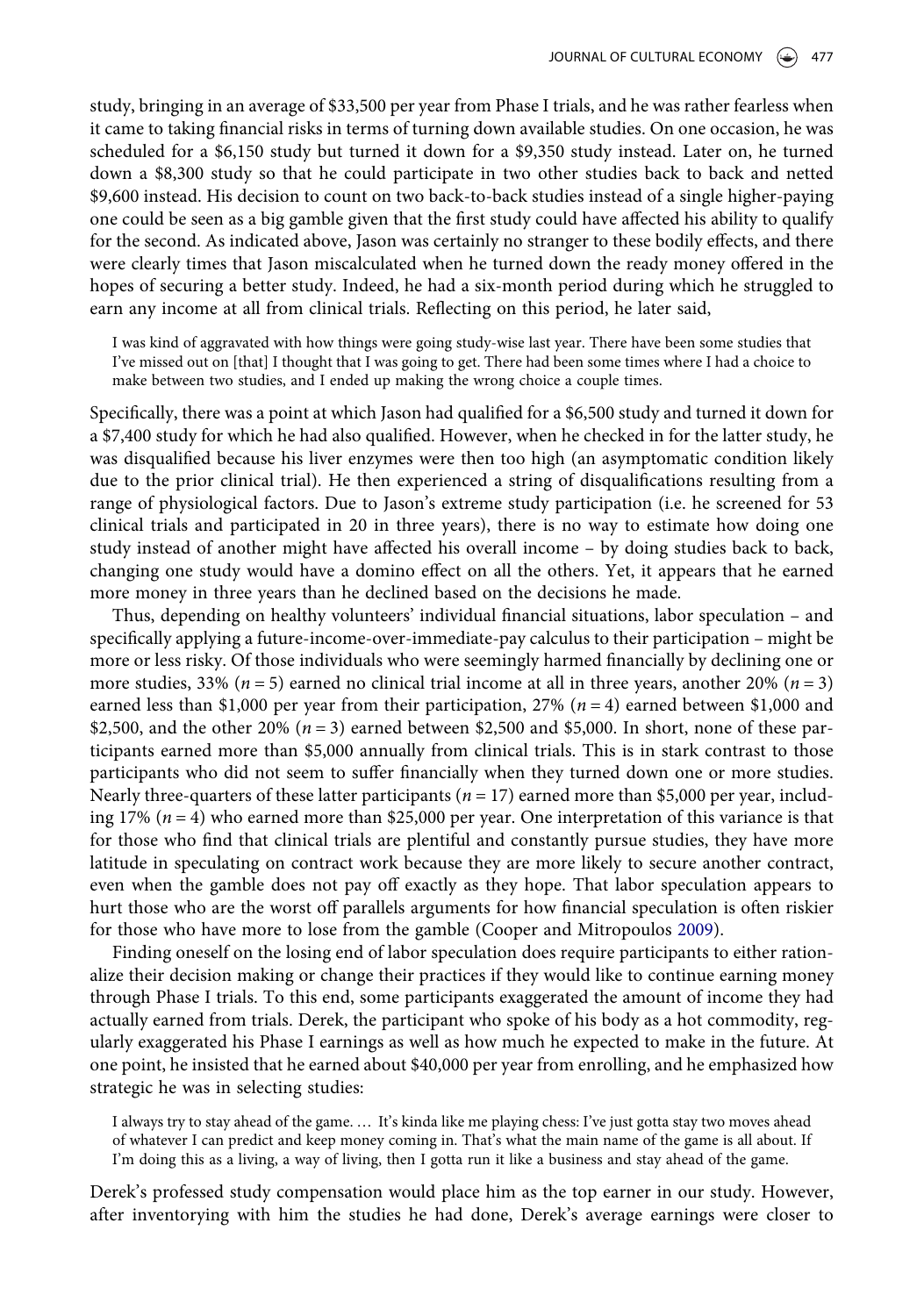study, bringing in an average of \$33,500 per year from Phase I trials, and he was rather fearless when it came to taking financial risks in terms of turning down available studies. On one occasion, he was scheduled for a \$6,150 study but turned it down for a \$9,350 study instead. Later on, he turned down a \$8,300 study so that he could participate in two other studies back to back and netted \$9,600 instead. His decision to count on two back-to-back studies instead of a single higher-paying one could be seen as a big gamble given that the first study could have affected his ability to qualify for the second. As indicated above, Jason was certainly no stranger to these bodily effects, and there were clearly times that Jason miscalculated when he turned down the ready money offered in the hopes of securing a better study. Indeed, he had a six-month period during which he struggled to earn any income at all from clinical trials. Reflecting on this period, he later said,

I was kind of aggravated with how things were going study-wise last year. There have been some studies that I've missed out on [that] I thought that I was going to get. There had been some times where I had a choice to make between two studies, and I ended up making the wrong choice a couple times.

Specifically, there was a point at which Jason had qualified for a \$6,500 study and turned it down for a \$7,400 study for which he had also qualified. However, when he checked in for the latter study, he was disqualified because his liver enzymes were then too high (an asymptomatic condition likely due to the prior clinical trial). He then experienced a string of disqualifications resulting from a range of physiological factors. Due to Jason's extreme study participation (i.e. he screened for 53 clinical trials and participated in 20 in three years), there is no way to estimate how doing one study instead of another might have affected his overall income – by doing studies back to back, changing one study would have a domino effect on all the others. Yet, it appears that he earned more money in three years than he declined based on the decisions he made.

Thus, depending on healthy volunteers' individual financial situations, labor speculation – and specifically applying a future-income-over-immediate-pay calculus to their participation – might be more or less risky. Of those individuals who were seemingly harmed financially by declining one or more studies, 33% ( $n = 5$ ) earned no clinical trial income at all in three years, another 20% ( $n = 3$ ) earned less than \$1,000 per year from their participation, 27% ( $n = 4$ ) earned between \$1,000 and \$2,500, and the other 20% ( $n = 3$ ) earned between \$2,500 and \$5,000. In short, none of these participants earned more than \$5,000 annually from clinical trials. This is in stark contrast to those participants who did not seem to suffer financially when they turned down one or more studies. Nearly three-quarters of these latter participants ( $n = 17$ ) earned more than \$5,000 per year, including 17%  $(n = 4)$  who earned more than \$25,000 per year. One interpretation of this variance is that for those who find that clinical trials are plentiful and constantly pursue studies, they have more latitude in speculating on contract work because they are more likely to secure another contract, even when the gamble does not pay off exactly as they hope. That labor speculation appears to hurt those who are the worst off parallels arguments for how financial speculation is often riskier for those who have more to lose from the gamble (Cooper and Mitropoulos [2009\)](#page-18-10).

Finding oneself on the losing end of labor speculation does require participants to either rationalize their decision making or change their practices if they would like to continue earning money through Phase I trials. To this end, some participants exaggerated the amount of income they had actually earned from trials. Derek, the participant who spoke of his body as a hot commodity, regularly exaggerated his Phase I earnings as well as how much he expected to make in the future. At one point, he insisted that he earned about \$40,000 per year from enrolling, and he emphasized how strategic he was in selecting studies:

I always try to stay ahead of the game. … It's kinda like me playing chess: I've just gotta stay two moves ahead of whatever I can predict and keep money coming in. That's what the main name of the game is all about. If I'm doing this as a living, a way of living, then I gotta run it like a business and stay ahead of the game.

Derek's professed study compensation would place him as the top earner in our study. However, after inventorying with him the studies he had done, Derek's average earnings were closer to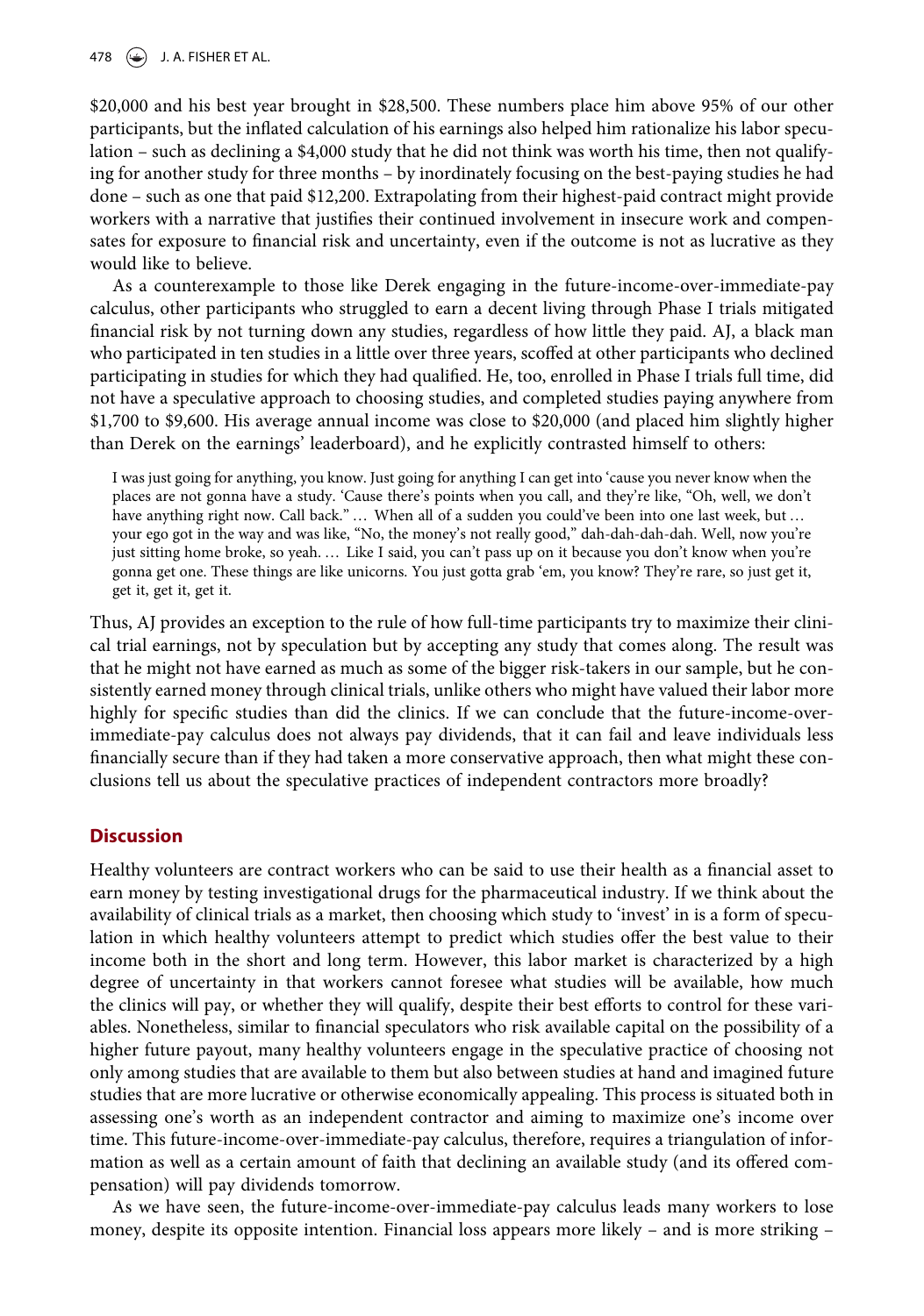\$20,000 and his best year brought in \$28,500. These numbers place him above 95% of our other participants, but the inflated calculation of his earnings also helped him rationalize his labor speculation – such as declining a \$4,000 study that he did not think was worth his time, then not qualifying for another study for three months – by inordinately focusing on the best-paying studies he had done – such as one that paid \$12,200. Extrapolating from their highest-paid contract might provide workers with a narrative that justifies their continued involvement in insecure work and compensates for exposure to financial risk and uncertainty, even if the outcome is not as lucrative as they would like to believe.

As a counterexample to those like Derek engaging in the future-income-over-immediate-pay calculus, other participants who struggled to earn a decent living through Phase I trials mitigated financial risk by not turning down any studies, regardless of how little they paid. AJ, a black man who participated in ten studies in a little over three years, scoffed at other participants who declined participating in studies for which they had qualified. He, too, enrolled in Phase I trials full time, did not have a speculative approach to choosing studies, and completed studies paying anywhere from \$1,700 to \$9,600. His average annual income was close to \$20,000 (and placed him slightly higher than Derek on the earnings' leaderboard), and he explicitly contrasted himself to others:

I was just going for anything, you know. Just going for anything I can get into 'cause you never know when the places are not gonna have a study. 'Cause there's points when you call, and they're like, "Oh, well, we don't have anything right now. Call back." … When all of a sudden you could've been into one last week, but … your ego got in the way and was like, "No, the money's not really good," dah-dah-dah-dah. Well, now you're just sitting home broke, so yeah. … Like I said, you can't pass up on it because you don't know when you're gonna get one. These things are like unicorns. You just gotta grab 'em, you know? They're rare, so just get it, get it, get it, get it.

Thus, AJ provides an exception to the rule of how full-time participants try to maximize their clinical trial earnings, not by speculation but by accepting any study that comes along. The result was that he might not have earned as much as some of the bigger risk-takers in our sample, but he consistently earned money through clinical trials, unlike others who might have valued their labor more highly for specific studies than did the clinics. If we can conclude that the future-income-overimmediate-pay calculus does not always pay dividends, that it can fail and leave individuals less financially secure than if they had taken a more conservative approach, then what might these conclusions tell us about the speculative practices of independent contractors more broadly?

# **Discussion**

Healthy volunteers are contract workers who can be said to use their health as a financial asset to earn money by testing investigational drugs for the pharmaceutical industry. If we think about the availability of clinical trials as a market, then choosing which study to 'invest' in is a form of speculation in which healthy volunteers attempt to predict which studies offer the best value to their income both in the short and long term. However, this labor market is characterized by a high degree of uncertainty in that workers cannot foresee what studies will be available, how much the clinics will pay, or whether they will qualify, despite their best efforts to control for these variables. Nonetheless, similar to financial speculators who risk available capital on the possibility of a higher future payout, many healthy volunteers engage in the speculative practice of choosing not only among studies that are available to them but also between studies at hand and imagined future studies that are more lucrative or otherwise economically appealing. This process is situated both in assessing one's worth as an independent contractor and aiming to maximize one's income over time. This future-income-over-immediate-pay calculus, therefore, requires a triangulation of information as well as a certain amount of faith that declining an available study (and its offered compensation) will pay dividends tomorrow.

As we have seen, the future-income-over-immediate-pay calculus leads many workers to lose money, despite its opposite intention. Financial loss appears more likely – and is more striking –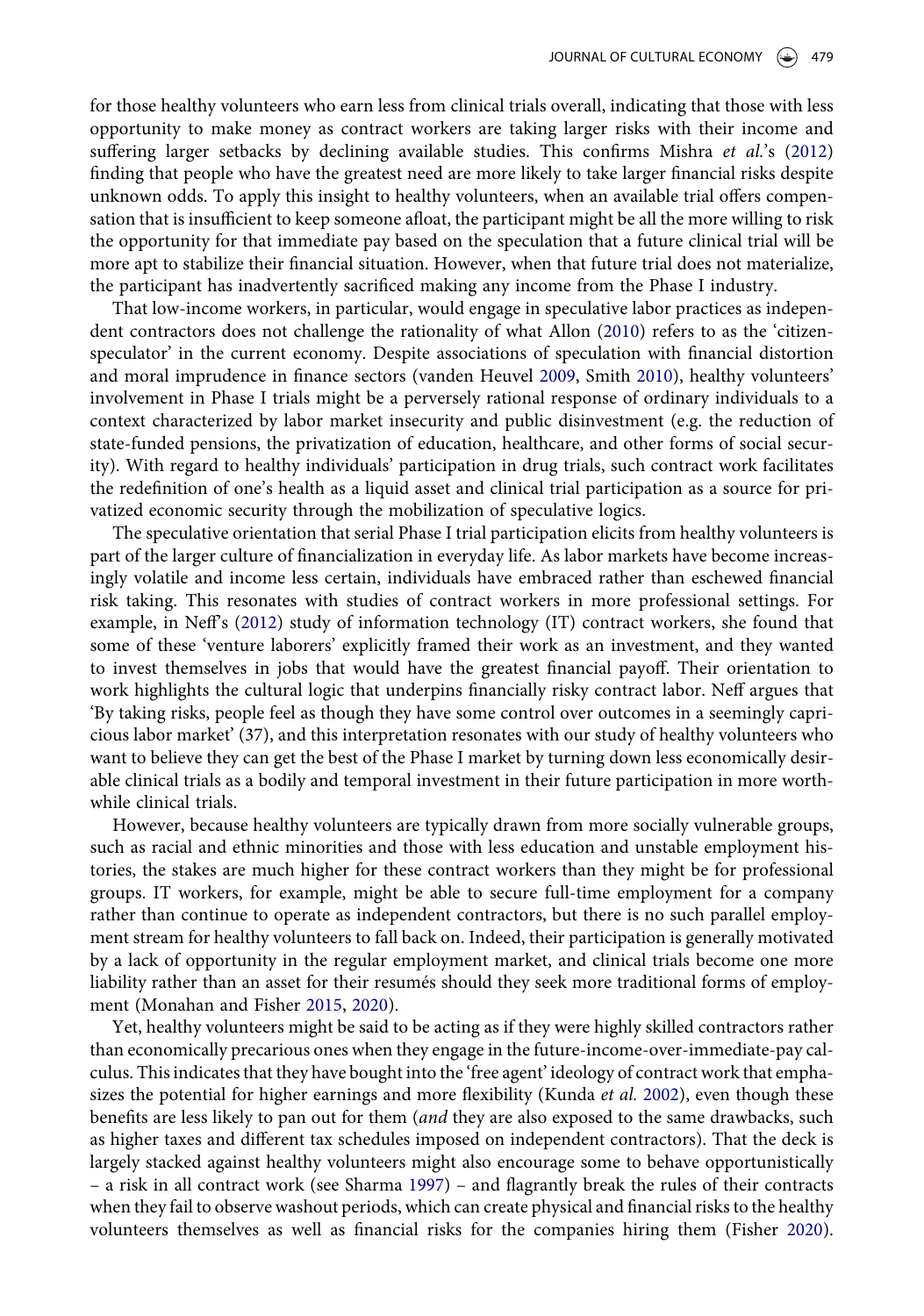for those healthy volunteers who earn less from clinical trials overall, indicating that those with less opportunity to make money as contract workers are taking larger risks with their income and suffering larger setbacks by declining available studies. This confirms Mishra et al.'s ([2012\)](#page-19-24) finding that people who have the greatest need are more likely to take larger financial risks despite unknown odds. To apply this insight to healthy volunteers, when an available trial offers compensation that is insufficient to keep someone afloat, the participant might be all the more willing to risk the opportunity for that immediate pay based on the speculation that a future clinical trial will be more apt to stabilize their financial situation. However, when that future trial does not materialize, the participant has inadvertently sacrificed making any income from the Phase I industry.

<span id="page-15-1"></span><span id="page-15-0"></span>That low-income workers, in particular, would engage in speculative labor practices as independent contractors does not challenge the rationality of what Allon [\(2010\)](#page-18-26) refers to as the 'citizenspeculator' in the current economy. Despite associations of speculation with financial distortion and moral imprudence in finance sectors (vanden Heuvel [2009](#page-20-7), Smith [2010](#page-19-31)), healthy volunteers' involvement in Phase I trials might be a perversely rational response of ordinary individuals to a context characterized by labor market insecurity and public disinvestment (e.g. the reduction of state-funded pensions, the privatization of education, healthcare, and other forms of social security). With regard to healthy individuals' participation in drug trials, such contract work facilitates the redefinition of one's health as a liquid asset and clinical trial participation as a source for privatized economic security through the mobilization of speculative logics.

The speculative orientation that serial Phase I trial participation elicits from healthy volunteers is part of the larger culture of financialization in everyday life. As labor markets have become increasingly volatile and income less certain, individuals have embraced rather than eschewed financial risk taking. This resonates with studies of contract workers in more professional settings. For example, in Neff's ([2012\)](#page-19-5) study of information technology (IT) contract workers, she found that some of these 'venture laborers' explicitly framed their work as an investment, and they wanted to invest themselves in jobs that would have the greatest financial payoff. Their orientation to work highlights the cultural logic that underpins financially risky contract labor. Neff argues that 'By taking risks, people feel as though they have some control over outcomes in a seemingly capricious labor market' (37), and this interpretation resonates with our study of healthy volunteers who want to believe they can get the best of the Phase I market by turning down less economically desirable clinical trials as a bodily and temporal investment in their future participation in more worthwhile clinical trials.

However, because healthy volunteers are typically drawn from more socially vulnerable groups, such as racial and ethnic minorities and those with less education and unstable employment histories, the stakes are much higher for these contract workers than they might be for professional groups. IT workers, for example, might be able to secure full-time employment for a company rather than continue to operate as independent contractors, but there is no such parallel employment stream for healthy volunteers to fall back on. Indeed, their participation is generally motivated by a lack of opportunity in the regular employment market, and clinical trials become one more liability rather than an asset for their resumés should they seek more traditional forms of employment (Monahan and Fisher [2015,](#page-19-29) [2020](#page-19-30)).

Yet, healthy volunteers might be said to be acting as if they were highly skilled contractors rather than economically precarious ones when they engage in the future-income-over-immediate-pay calculus. This indicates that they have bought into the 'free agent' ideology of contract work that empha-sizes the potential for higher earnings and more flexibility (Kunda et al. [2002\)](#page-19-12), even though these benefits are less likely to pan out for them (and they are also exposed to the same drawbacks, such as higher taxes and different tax schedules imposed on independent contractors). That the deck is largely stacked against healthy volunteers might also encourage some to behave opportunistically – a risk in all contract work (see Sharma [1997](#page-19-14)) – and flagrantly break the rules of their contracts when they fail to observe washout periods, which can create physical and financial risks to the healthy volunteers themselves as well as financial risks for the companies hiring them (Fisher [2020](#page-18-17)).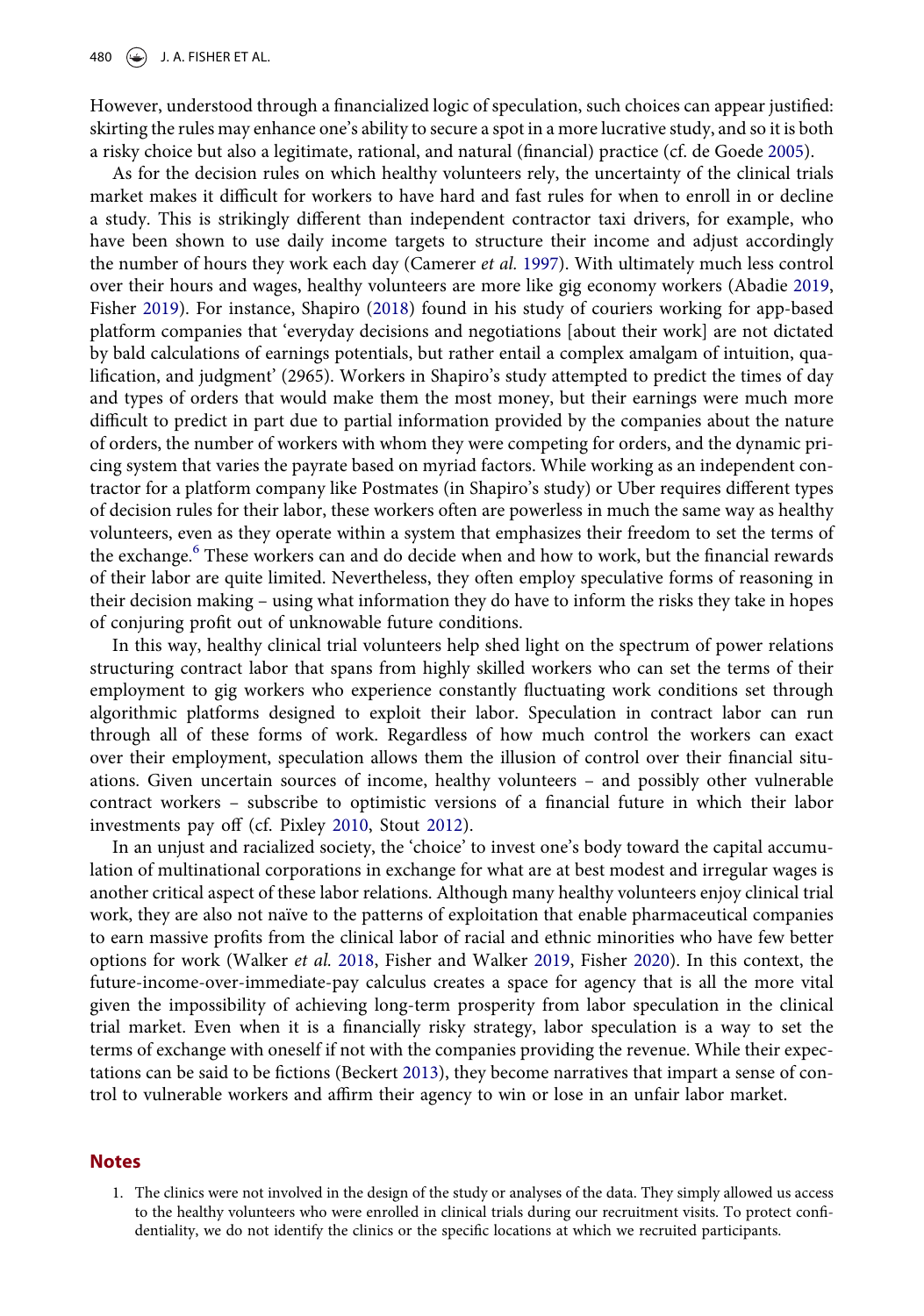However, understood through a financialized logic of speculation, such choices can appear justified: skirting the rules may enhance one's ability to secure a spot in a more lucrative study, and so it is both a risky choice but also a legitimate, rational, and natural (financial) practice (cf. de Goede [2005](#page-18-24)).

<span id="page-16-2"></span><span id="page-16-1"></span>As for the decision rules on which healthy volunteers rely, the uncertainty of the clinical trials market makes it difficult for workers to have hard and fast rules for when to enroll in or decline a study. This is strikingly different than independent contractor taxi drivers, for example, who have been shown to use daily income targets to structure their income and adjust accordingly the number of hours they work each day (Camerer et al. [1997](#page-18-12)). With ultimately much less control over their hours and wages, healthy volunteers are more like gig economy workers (Abadie [2019,](#page-18-27) Fisher [2019\)](#page-18-28). For instance, Shapiro [\(2018](#page-19-19)) found in his study of couriers working for app-based platform companies that 'everyday decisions and negotiations [about their work] are not dictated by bald calculations of earnings potentials, but rather entail a complex amalgam of intuition, qualification, and judgment' (2965). Workers in Shapiro's study attempted to predict the times of day and types of orders that would make them the most money, but their earnings were much more difficult to predict in part due to partial information provided by the companies about the nature of orders, the number of workers with whom they were competing for orders, and the dynamic pricing system that varies the payrate based on myriad factors. While working as an independent contractor for a platform company like Postmates (in Shapiro's study) or Uber requires different types of decision rules for their labor, these workers often are powerless in much the same way as healthy volunteers, even as they operate within a system that emphasizes their freedom to set the terms of the exchange.<sup>[6](#page-17-5)</sup> These workers can and do decide when and how to work, but the financial rewards of their labor are quite limited. Nevertheless, they often employ speculative forms of reasoning in their decision making – using what information they do have to inform the risks they take in hopes of conjuring profit out of unknowable future conditions.

In this way, healthy clinical trial volunteers help shed light on the spectrum of power relations structuring contract labor that spans from highly skilled workers who can set the terms of their employment to gig workers who experience constantly fluctuating work conditions set through algorithmic platforms designed to exploit their labor. Speculation in contract labor can run through all of these forms of work. Regardless of how much control the workers can exact over their employment, speculation allows them the illusion of control over their financial situations. Given uncertain sources of income, healthy volunteers – and possibly other vulnerable contract workers – subscribe to optimistic versions of a financial future in which their labor investments pay off (cf. Pixley [2010,](#page-19-21) Stout [2012](#page-19-23)).

<span id="page-16-3"></span>In an unjust and racialized society, the 'choice' to invest one's body toward the capital accumulation of multinational corporations in exchange for what are at best modest and irregular wages is another critical aspect of these labor relations. Although many healthy volunteers enjoy clinical trial work, they are also not naïve to the patterns of exploitation that enable pharmaceutical companies to earn massive profits from the clinical labor of racial and ethnic minorities who have few better options for work (Walker et al. [2018,](#page-20-8) Fisher and Walker [2019](#page-18-29), Fisher [2020\)](#page-18-17). In this context, the future-income-over-immediate-pay calculus creates a space for agency that is all the more vital given the impossibility of achieving long-term prosperity from labor speculation in the clinical trial market. Even when it is a financially risky strategy, labor speculation is a way to set the terms of exchange with oneself if not with the companies providing the revenue. While their expectations can be said to be fictions (Beckert [2013](#page-18-13)), they become narratives that impart a sense of control to vulnerable workers and affirm their agency to win or lose in an unfair labor market.

## <span id="page-16-0"></span>Notes

1. The clinics were not involved in the design of the study or analyses of the data. They simply allowed us access to the healthy volunteers who were enrolled in clinical trials during our recruitment visits. To protect confidentiality, we do not identify the clinics or the specific locations at which we recruited participants.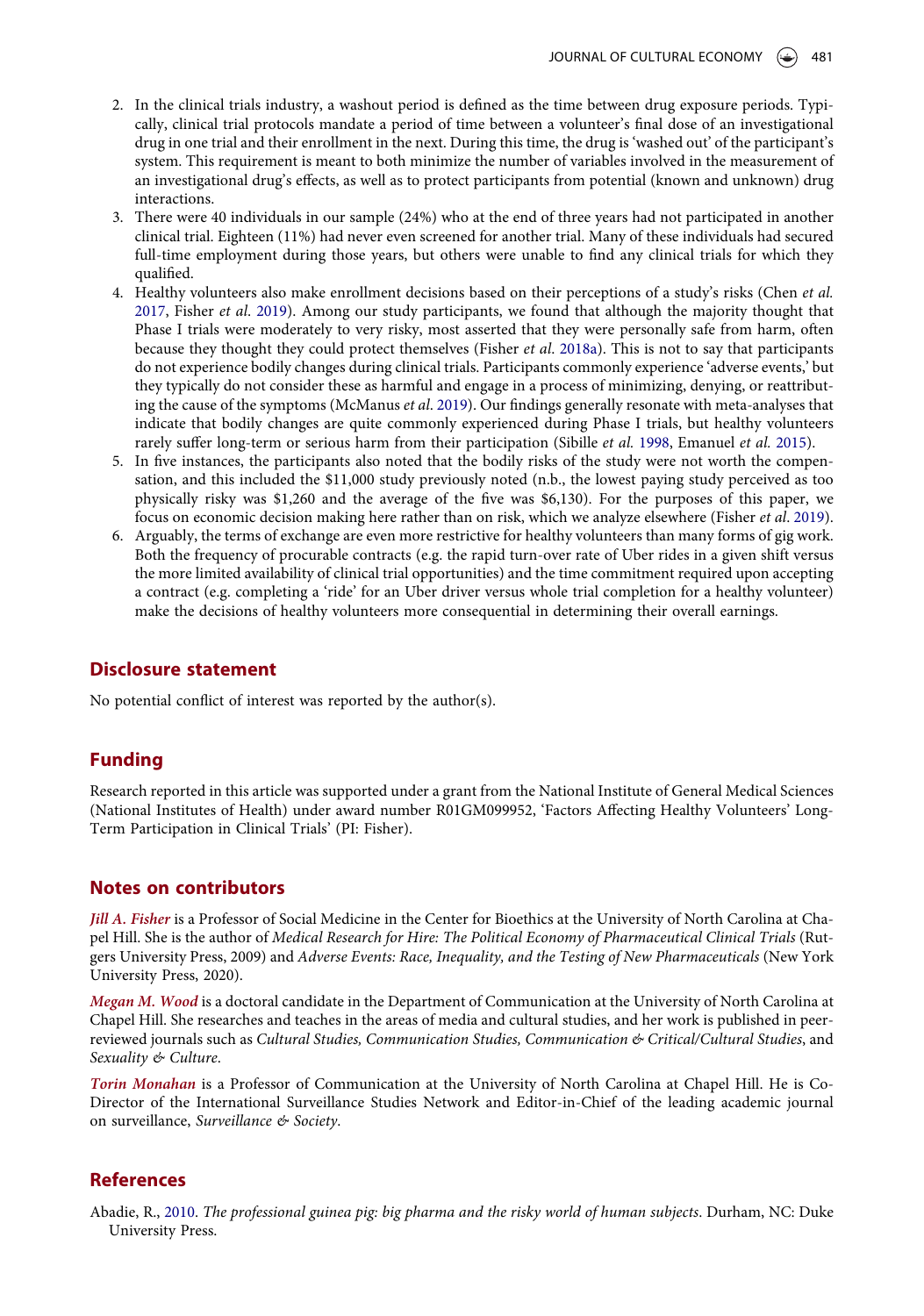- <span id="page-17-1"></span>2. In the clinical trials industry, a washout period is defined as the time between drug exposure periods. Typically, clinical trial protocols mandate a period of time between a volunteer's final dose of an investigational drug in one trial and their enrollment in the next. During this time, the drug is 'washed out' of the participant's system. This requirement is meant to both minimize the number of variables involved in the measurement of an investigational drug's effects, as well as to protect participants from potential (known and unknown) drug interactions.
- <span id="page-17-2"></span>3. There were 40 individuals in our sample (24%) who at the end of three years had not participated in another clinical trial. Eighteen (11%) had never even screened for another trial. Many of these individuals had secured full-time employment during those years, but others were unable to find any clinical trials for which they qualified.
- <span id="page-17-3"></span>4. Healthy volunteers also make enrollment decisions based on their perceptions of a study's risks (Chen et al. [2017](#page-18-30), Fisher et al. [2019](#page-18-28)). Among our study participants, we found that although the majority thought that Phase I trials were moderately to very risky, most asserted that they were personally safe from harm, often because they thought they could protect themselves (Fisher et al. [2018a\)](#page-18-16). This is not to say that participants do not experience bodily changes during clinical trials. Participants commonly experience 'adverse events,' but they typically do not consider these as harmful and engage in a process of minimizing, denying, or reattribut-ing the cause of the symptoms (McManus et al. [2019\)](#page-19-32). Our findings generally resonate with meta-analyses that indicate that bodily changes are quite commonly experienced during Phase I trials, but healthy volunteers rarely suffer long-term or serious harm from their participation (Sibille *et al.* [1998,](#page-19-33) Emanuel *et al.* [2015\)](#page-18-4).
- <span id="page-17-7"></span><span id="page-17-6"></span><span id="page-17-4"></span>5. In five instances, the participants also noted that the bodily risks of the study were not worth the compensation, and this included the \$11,000 study previously noted (n.b., the lowest paying study perceived as too physically risky was \$1,260 and the average of the five was \$6,130). For the purposes of this paper, we focus on economic decision making here rather than on risk, which we analyze elsewhere (Fisher et al. [2019](#page-18-28)).
- <span id="page-17-5"></span>6. Arguably, the terms of exchange are even more restrictive for healthy volunteers than many forms of gig work. Both the frequency of procurable contracts (e.g. the rapid turn-over rate of Uber rides in a given shift versus the more limited availability of clinical trial opportunities) and the time commitment required upon accepting a contract (e.g. completing a 'ride' for an Uber driver versus whole trial completion for a healthy volunteer) make the decisions of healthy volunteers more consequential in determining their overall earnings.

# Disclosure statement

No potential conflict of interest was reported by the author(s).

### Funding

Research reported in this article was supported under a grant from the National Institute of General Medical Sciences (National Institutes of Health) under award number R01GM099952, 'Factors Affecting Healthy Volunteers' Long-Term Participation in Clinical Trials' (PI: Fisher).

## Notes on contributors

Jill A. Fisher is a Professor of Social Medicine in the Center for Bioethics at the University of North Carolina at Chapel Hill. She is the author of Medical Research for Hire: The Political Economy of Pharmaceutical Clinical Trials (Rutgers University Press, 2009) and Adverse Events: Race, Inequality, and the Testing of New Pharmaceuticals (New York University Press, 2020).

Megan M. Wood is a doctoral candidate in the Department of Communication at the University of North Carolina at Chapel Hill. She researches and teaches in the areas of media and cultural studies, and her work is published in peerreviewed journals such as Cultural Studies, Communication Studies, Communication & Critical/Cultural Studies, and Sexuality & Culture.

Torin Monahan is a Professor of Communication at the University of North Carolina at Chapel Hill. He is Co-Director of the International Surveillance Studies Network and Editor-in-Chief of the leading academic journal on surveillance, Surveillance & Society.

### References

<span id="page-17-0"></span>Abadie, R., [2010](#page-1-0). The professional guinea pig: big pharma and the risky world of human subjects. Durham, NC: Duke University Press.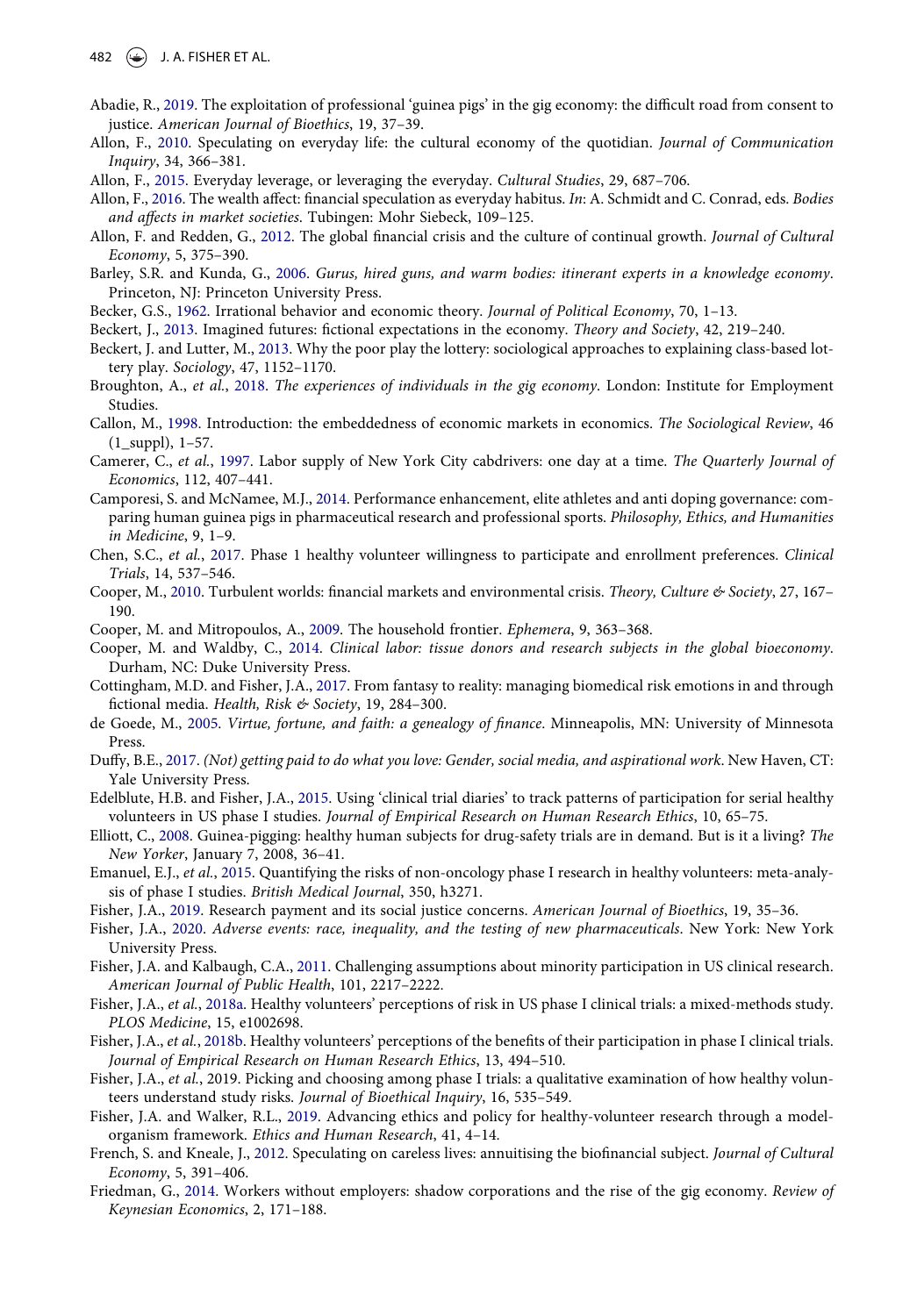- <span id="page-18-27"></span>Abadie, R., [2019.](#page-16-1) The exploitation of professional 'guinea pigs' in the gig economy: the difficult road from consent to justice. American Journal of Bioethics, 19, 37–39.
- <span id="page-18-26"></span>Allon, F., [2010.](#page-15-0) Speculating on everyday life: the cultural economy of the quotidian. Journal of Communication Inquiry, 34, 366–381.
- <span id="page-18-6"></span><span id="page-18-1"></span>Allon, F., [2015.](#page-0-0) Everyday leverage, or leveraging the everyday. Cultural Studies, 29, 687–706.
- Allon, F., [2016](#page-1-1). The wealth affect: financial speculation as everyday habitus. In: A. Schmidt and C. Conrad, eds. Bodies and affects in market societies. Tubingen: Mohr Siebeck, 109–125.
- <span id="page-18-8"></span>Allon, F. and Redden, G., [2012.](#page-2-0) The global financial crisis and the culture of continual growth. Journal of Cultural Economy, 5, 375–390.
- <span id="page-18-7"></span>Barley, S.R. and Kunda, G., [2006.](#page-2-1) Gurus, hired guns, and warm bodies: itinerant experts in a knowledge economy. Princeton, NJ: Princeton University Press.
- <span id="page-18-15"></span><span id="page-18-13"></span>Becker, G.S., [1962](#page-3-0). Irrational behavior and economic theory. Journal of Political Economy, 70, 1-13.
- <span id="page-18-22"></span>Beckert, J., [2013.](#page-3-1) Imagined futures: fictional expectations in the economy. Theory and Society, 42, 219–240.
- Beckert, J. and Lutter, M., [2013](#page-6-0). Why the poor play the lottery: sociological approaches to explaining class-based lottery play. Sociology, 47, 1152–1170.
- <span id="page-18-25"></span>Broughton, A., et al., [2018.](#page-8-0) The experiences of individuals in the gig economy. London: Institute for Employment Studies.
- <span id="page-18-5"></span>Callon, M., [1998.](#page-1-2) Introduction: the embeddedness of economic markets in economics. The Sociological Review, 46 (1\_suppl), 1–57.
- <span id="page-18-12"></span>Camerer, C., et al., [1997](#page-3-2). Labor supply of New York City cabdrivers: one day at a time. The Quarterly Journal of Economics, 112, 407–441.
- <span id="page-18-2"></span>Camporesi, S. and McNamee, M.J., [2014](#page-1-3). Performance enhancement, elite athletes and anti doping governance: comparing human guinea pigs in pharmaceutical research and professional sports. Philosophy, Ethics, and Humanities in Medicine, 9, 1–9.
- <span id="page-18-30"></span>Chen, S.C., et al., [2017.](#page-17-3) Phase 1 healthy volunteer willingness to participate and enrollment preferences. Clinical Trials, 14, 537–546.
- <span id="page-18-14"></span>Cooper, M., [2010](#page-3-3). Turbulent worlds: financial markets and environmental crisis. Theory, Culture & Society, 27, 167-190.
- <span id="page-18-20"></span><span id="page-18-10"></span>Cooper, M. and Mitropoulos, A., [2009](#page-2-2). The household frontier. Ephemera, 9, 363–368.
- Cooper, M. and Waldby, C., [2014.](#page-6-1) Clinical labor: tissue donors and research subjects in the global bioeconomy. Durham, NC: Duke University Press.
- <span id="page-18-23"></span>Cottingham, M.D. and Fisher, J.A., [2017](#page-7-0). From fantasy to reality: managing biomedical risk emotions in and through fictional media. Health, Risk & Society, 19, 284-300.
- <span id="page-18-24"></span>de Goede, M., [2005](#page-8-1). Virtue, fortune, and faith: a genealogy of finance. Minneapolis, MN: University of Minnesota Press.
- <span id="page-18-0"></span>Duffy, B.E., [2017.](#page-0-1) (Not) getting paid to do what you love: Gender, social media, and aspirational work. New Haven, CT: Yale University Press.
- <span id="page-18-3"></span>Edelblute, H.B. and Fisher, J.A., [2015](#page-1-4). Using 'clinical trial diaries' to track patterns of participation for serial healthy volunteers in US phase I studies. Journal of Empirical Research on Human Research Ethics, 10, 65–75.
- <span id="page-18-21"></span>Elliott, C., [2008](#page-6-2). Guinea-pigging: healthy human subjects for drug-safety trials are in demand. But is it a living? The New Yorker, January 7, 2008, 36–41.
- <span id="page-18-4"></span>Emanuel, E.J., et al., [2015](#page-1-5). Quantifying the risks of non-oncology phase I research in healthy volunteers: meta-analysis of phase I studies. British Medical Journal, 350, h3271.
- <span id="page-18-28"></span><span id="page-18-17"></span>Fisher, J.A., [2019](#page-16-2). Research payment and its social justice concerns. American Journal of Bioethics, 19, 35–36.
- Fisher, J.A., [2020](#page-4-0). Adverse events: race, inequality, and the testing of new pharmaceuticals. New York: New York University Press.
- <span id="page-18-18"></span>Fisher, J.A. and Kalbaugh, C.A., [2011.](#page-4-1) Challenging assumptions about minority participation in US clinical research. American Journal of Public Health, 101, 2217–2222.
- <span id="page-18-16"></span>Fisher, J.A., et al., [2018a.](#page-3-4) Healthy volunteers' perceptions of risk in US phase I clinical trials: a mixed-methods study. PLOS Medicine, 15, e1002698.
- <span id="page-18-19"></span>Fisher, J.A., et al., [2018b.](#page-6-3) Healthy volunteers' perceptions of the benefits of their participation in phase I clinical trials. Journal of Empirical Research on Human Research Ethics, 13, 494–510.
- Fisher, J.A., et al., 2019. Picking and choosing among phase I trials: a qualitative examination of how healthy volunteers understand study risks. Journal of Bioethical Inquiry, 16, 535–549.
- <span id="page-18-29"></span>Fisher, J.A. and Walker, R.L., [2019.](#page-16-3) Advancing ethics and policy for healthy-volunteer research through a modelorganism framework. Ethics and Human Research, 41, 4–14.
- <span id="page-18-9"></span>French, S. and Kneale, J., [2012](#page-2-3). Speculating on careless lives: annuitising the biofinancial subject. Journal of Cultural Economy, 5, 391–406.
- <span id="page-18-11"></span>Friedman, G., [2014.](#page-3-5) Workers without employers: shadow corporations and the rise of the gig economy. Review of Keynesian Economics, 2, 171–188.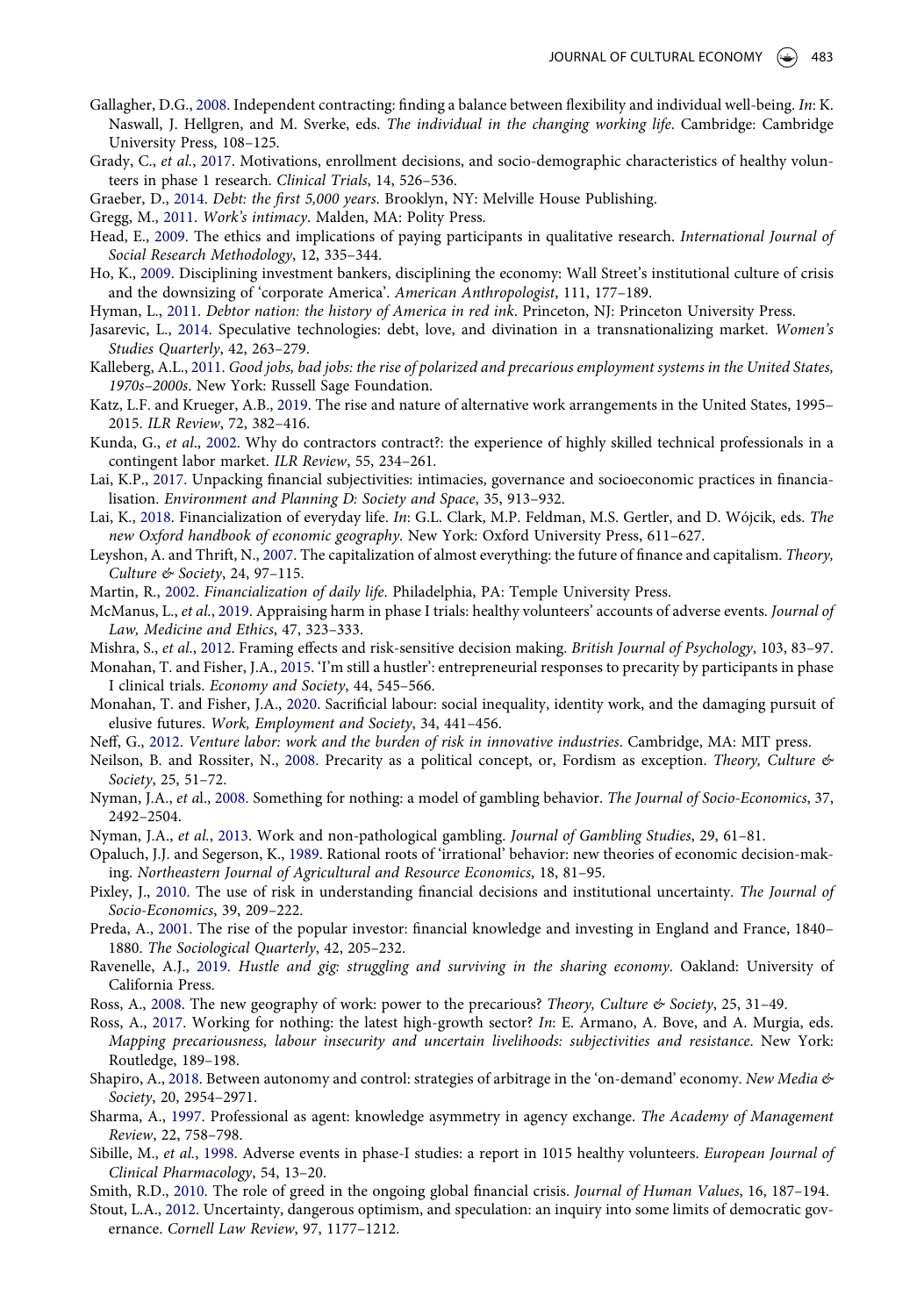- <span id="page-19-13"></span>Gallagher, D.G., [2008](#page-2-4). Independent contracting: finding a balance between flexibility and individual well-being. In: K. Naswall, J. Hellgren, and M. Sverke, eds. The individual in the changing working life. Cambridge: Cambridge University Press, 108–125.
- <span id="page-19-26"></span>Grady, C., et al., [2017.](#page-4-1) Motivations, enrollment decisions, and socio-demographic characteristics of healthy volunteers in phase 1 research. Clinical Trials, 14, 526–536.
- <span id="page-19-10"></span><span id="page-19-4"></span>Graeber, D., [2014](#page-0-2). Debt: the first 5,000 years. Brooklyn, NY: Melville House Publishing.
- <span id="page-19-25"></span>Gregg, M., [2011.](#page-2-5) Work's intimacy. Malden, MA: Polity Press.
- Head, E., [2009.](#page-4-2) The ethics and implications of paying participants in qualitative research. International Journal of Social Research Methodology, 12, 335–344.
- <span id="page-19-1"></span>Ho, K., [2009](#page-0-3). Disciplining investment bankers, disciplining the economy: Wall Street's institutional culture of crisis and the downsizing of 'corporate America'. American Anthropologist, 111, 177–189.
- <span id="page-19-22"></span><span id="page-19-6"></span>Hyman, L., [2011.](#page-0-4) Debtor nation: the history of America in red ink. Princeton, NJ: Princeton University Press.
- Jasarevic, L., [2014](#page-3-6). Speculative technologies: debt, love, and divination in a transnationalizing market. Women's Studies Quarterly, 42, 263–279.
- <span id="page-19-8"></span>Kalleberg, A.L., [2011](#page-2-6). Good jobs, bad jobs: the rise of polarized and precarious employment systems in the United States, 1970s–2000s. New York: Russell Sage Foundation.
- <span id="page-19-11"></span>Katz, L.F. and Krueger, A.B., [2019](#page-2-5). The rise and nature of alternative work arrangements in the United States, 1995– 2015. ILR Review, 72, 382–416.
- <span id="page-19-12"></span>Kunda, G., et al., [2002](#page-2-4). Why do contractors contract?: the experience of highly skilled technical professionals in a contingent labor market. ILR Review, 55, 234–261.
- <span id="page-19-17"></span>Lai, K.P., [2017](#page-2-7). Unpacking financial subjectivities: intimacies, governance and socioeconomic practices in financialisation. Environment and Planning D: Society and Space, 35, 913–932.
- <span id="page-19-16"></span>Lai, K., [2018](#page-2-8). Financialization of everyday life. In: G.L. Clark, M.P. Feldman, M.S. Gertler, and D. Wójcik, eds. The new Oxford handbook of economic geography. New York: Oxford University Press, 611–627.
- <span id="page-19-15"></span>Leyshon, A. and Thrift, N., [2007.](#page-2-9) The capitalization of almost everything: the future of finance and capitalism. Theory, Culture & Society, 24, 97–115.
- <span id="page-19-32"></span><span id="page-19-2"></span>Martin, R., [2002](#page-0-5). Financialization of daily life. Philadelphia, PA: Temple University Press.
- McManus, L., et al., [2019](#page-17-6). Appraising harm in phase I trials: healthy volunteers' accounts of adverse events. Journal of Law, Medicine and Ethics, 47, 323–333.
- <span id="page-19-29"></span><span id="page-19-24"></span>Mishra, S., et al., [2012](#page-3-7). Framing effects and risk-sensitive decision making. British Journal of Psychology, 103, 83–97.
- Monahan, T. and Fisher, J.A., [2015](#page-8-2). 'I'm still a hustler': entrepreneurial responses to precarity by participants in phase I clinical trials. Economy and Society, 44, 545–566.
- <span id="page-19-30"></span>Monahan, T. and Fisher, J.A., [2020](#page-11-0). Sacrificial labour: social inequality, identity work, and the damaging pursuit of elusive futures. Work, Employment and Society, 34, 441–456.
- <span id="page-19-7"></span><span id="page-19-5"></span>Neff, G., [2012.](#page-0-1) Venture labor: work and the burden of risk in innovative industries. Cambridge, MA: MIT press.
- Neilson, B. and Rossiter, N., [2008](#page-2-6). Precarity as a political concept, or, Fordism as exception. Theory, Culture & Society, 25, 51–72.
- <span id="page-19-28"></span>Nyman, J.A., et al., [2008](#page-6-0). Something for nothing: a model of gambling behavior. The Journal of Socio-Economics, 37, 2492–2504.
- <span id="page-19-27"></span><span id="page-19-20"></span>Nyman, J.A., et al., [2013.](#page-6-4) Work and non-pathological gambling. Journal of Gambling Studies, 29, 61–81.
- Opaluch, J.J. and Segerson, K., [1989.](#page-3-8) Rational roots of 'irrational' behavior: new theories of economic decision-making. Northeastern Journal of Agricultural and Resource Economics, 18, 81–95.
- <span id="page-19-21"></span>Pixley, J., [2010.](#page-3-6) The use of risk in understanding financial decisions and institutional uncertainty. The Journal of Socio-Economics, 39, 209–222.
- <span id="page-19-0"></span>Preda, A., [2001.](#page-0-3) The rise of the popular investor: financial knowledge and investing in England and France, 1840– 1880. The Sociological Quarterly, 42, 205–232.
- <span id="page-19-18"></span>Ravenelle, A.J., [2019](#page-3-9). Hustle and gig: struggling and surviving in the sharing economy. Oakland: University of California Press.
- <span id="page-19-9"></span><span id="page-19-3"></span>Ross, A., [2008.](#page-0-5) The new geography of work: power to the precarious? Theory, Culture & Society, 25, 31–49.
- Ross, A., [2017.](#page-2-6) Working for nothing: the latest high-growth sector? In: E. Armano, A. Bove, and A. Murgia, eds. Mapping precariousness, labour insecurity and uncertain livelihoods: subjectivities and resistance. New York: Routledge, 189–198.
- <span id="page-19-19"></span>Shapiro, A., [2018](#page-3-2). Between autonomy and control: strategies of arbitrage in the 'on-demand' economy. New Media & Society, 20, 2954–2971.
- <span id="page-19-14"></span>Sharma, A., [1997.](#page-2-10) Professional as agent: knowledge asymmetry in agency exchange. The Academy of Management Review, 22, 758–798.
- <span id="page-19-33"></span>Sibille, M., et al., [1998](#page-17-7). Adverse events in phase-I studies: a report in 1015 healthy volunteers. European Journal of Clinical Pharmacology, 54, 13–20.
- <span id="page-19-31"></span><span id="page-19-23"></span>Smith, R.D., [2010](#page-15-1). The role of greed in the ongoing global financial crisis. Journal of Human Values, 16, 187–194.
- Stout, L.A., [2012.](#page-3-10) Uncertainty, dangerous optimism, and speculation: an inquiry into some limits of democratic governance. Cornell Law Review, 97, 1177–1212.